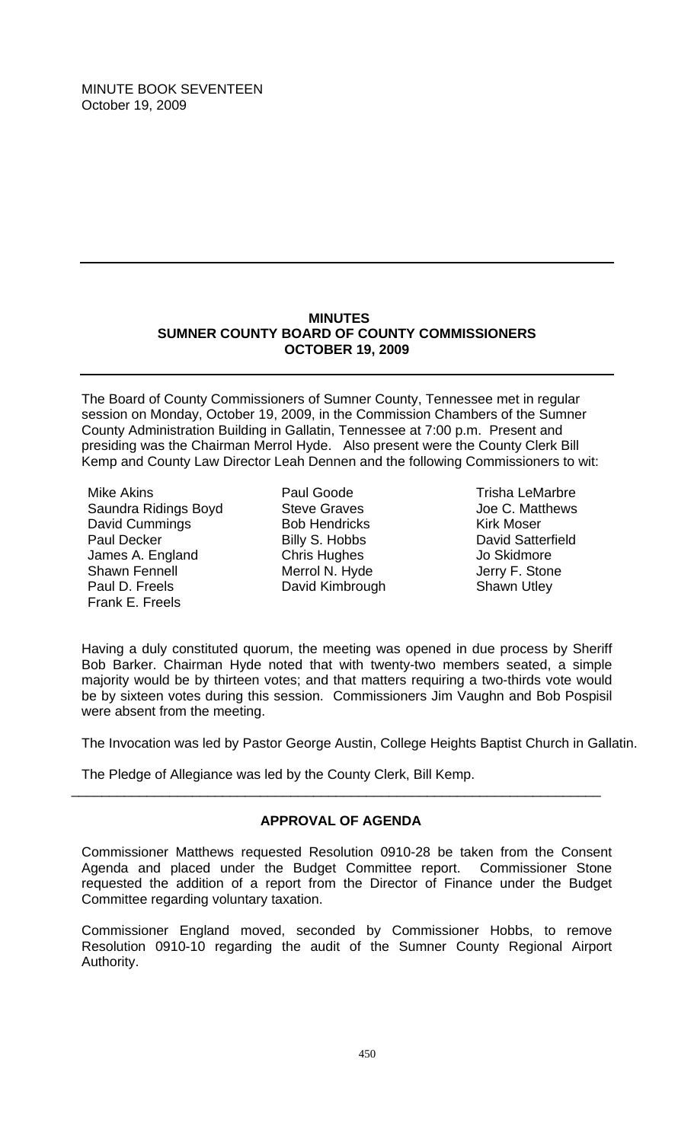## **MINUTES SUMNER COUNTY BOARD OF COUNTY COMMISSIONERS OCTOBER 19, 2009**

The Board of County Commissioners of Sumner County, Tennessee met in regular session on Monday, October 19, 2009, in the Commission Chambers of the Sumner County Administration Building in Gallatin, Tennessee at 7:00 p.m. Present and presiding was the Chairman Merrol Hyde. Also present were the County Clerk Bill Kemp and County Law Director Leah Dennen and the following Commissioners to wit:

Mike Akins Saundra Ridings Boyd David Cummings Paul Decker James A. England Shawn Fennell Paul D. Freels Frank E. Freels

Paul Goode Steve Graves Bob Hendricks Billy S. Hobbs Chris Hughes Merrol N. Hyde David Kimbrough

Trisha LeMarbre Joe C. Matthews Kirk Moser David Satterfield Jo Skidmore Jerry F. Stone Shawn Utley

Having a duly constituted quorum, the meeting was opened in due process by Sheriff Bob Barker. Chairman Hyde noted that with twenty-two members seated, a simple majority would be by thirteen votes; and that matters requiring a two-thirds vote would be by sixteen votes during this session. Commissioners Jim Vaughn and Bob Pospisil were absent from the meeting.

The Invocation was led by Pastor George Austin, College Heights Baptist Church in Gallatin.

The Pledge of Allegiance was led by the County Clerk, Bill Kemp.

## **APPROVAL OF AGENDA**

\_\_\_\_\_\_\_\_\_\_\_\_\_\_\_\_\_\_\_\_\_\_\_\_\_\_\_\_\_\_\_\_\_\_\_\_\_\_\_\_\_\_\_\_\_\_\_\_\_\_\_\_\_\_\_\_\_\_\_\_\_\_\_\_\_\_\_\_\_\_

Commissioner Matthews requested Resolution 0910-28 be taken from the Consent Agenda and placed under the Budget Committee report. Commissioner Stone requested the addition of a report from the Director of Finance under the Budget Committee regarding voluntary taxation.

Commissioner England moved, seconded by Commissioner Hobbs, to remove Resolution 0910-10 regarding the audit of the Sumner County Regional Airport Authority.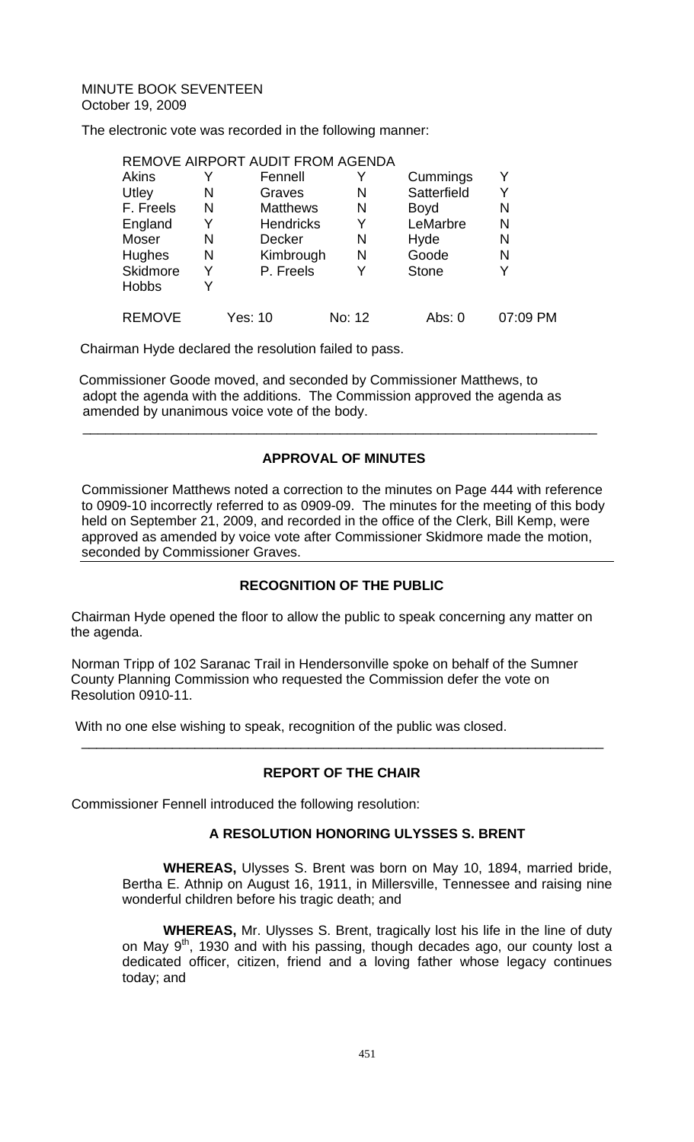The electronic vote was recorded in the following manner:

# REMOVE AIRPORT AUDIT FROM AGENDA

| <b>Akins</b>  |   | Fennell          |        | Cummings     |          |
|---------------|---|------------------|--------|--------------|----------|
| Utley         | N | Graves           | N      | Satterfield  |          |
| F. Freels     | N | <b>Matthews</b>  | N      | <b>Boyd</b>  | N        |
| England       | Y | <b>Hendricks</b> | Y      | LeMarbre     | N        |
| Moser         | N | <b>Decker</b>    | N      | Hyde         | N        |
| <b>Hughes</b> | N | Kimbrough        | N      | Goode        | N        |
| Skidmore      | Y | P. Freels        | Y      | <b>Stone</b> | Y        |
| <b>Hobbs</b>  |   |                  |        |              |          |
| <b>REMOVE</b> |   | Yes: 10          | No: 12 | Abs: 0       | 07:09 PM |

Chairman Hyde declared the resolution failed to pass.

 Commissioner Goode moved, and seconded by Commissioner Matthews, to adopt the agenda with the additions. The Commission approved the agenda as amended by unanimous voice vote of the body.

# **APPROVAL OF MINUTES**

 $\overline{\phantom{a}}$  , and the contribution of the contribution of the contribution of the contribution of the contribution of the contribution of the contribution of the contribution of the contribution of the contribution of the

Commissioner Matthews noted a correction to the minutes on Page 444 with reference to 0909-10 incorrectly referred to as 0909-09. The minutes for the meeting of this body held on September 21, 2009, and recorded in the office of the Clerk, Bill Kemp, were approved as amended by voice vote after Commissioner Skidmore made the motion, seconded by Commissioner Graves.

# **RECOGNITION OF THE PUBLIC**

Chairman Hyde opened the floor to allow the public to speak concerning any matter on the agenda.

Norman Tripp of 102 Saranac Trail in Hendersonville spoke on behalf of the Sumner County Planning Commission who requested the Commission defer the vote on Resolution 0910-11.

With no one else wishing to speak, recognition of the public was closed.

## **REPORT OF THE CHAIR**

\_\_\_\_\_\_\_\_\_\_\_\_\_\_\_\_\_\_\_\_\_\_\_\_\_\_\_\_\_\_\_\_\_\_\_\_\_\_\_\_\_\_\_\_\_\_\_\_\_\_\_\_\_\_\_\_\_\_\_\_\_\_\_\_\_\_\_\_\_

Commissioner Fennell introduced the following resolution:

## **A RESOLUTION HONORING ULYSSES S. BRENT**

 **WHEREAS,** Ulysses S. Brent was born on May 10, 1894, married bride, Bertha E. Athnip on August 16, 1911, in Millersville, Tennessee and raising nine wonderful children before his tragic death; and

**WHEREAS,** Mr. Ulysses S. Brent, tragically lost his life in the line of duty on May 9<sup>th</sup>, 1930 and with his passing, though decades ago, our county lost a dedicated officer, citizen, friend and a loving father whose legacy continues today; and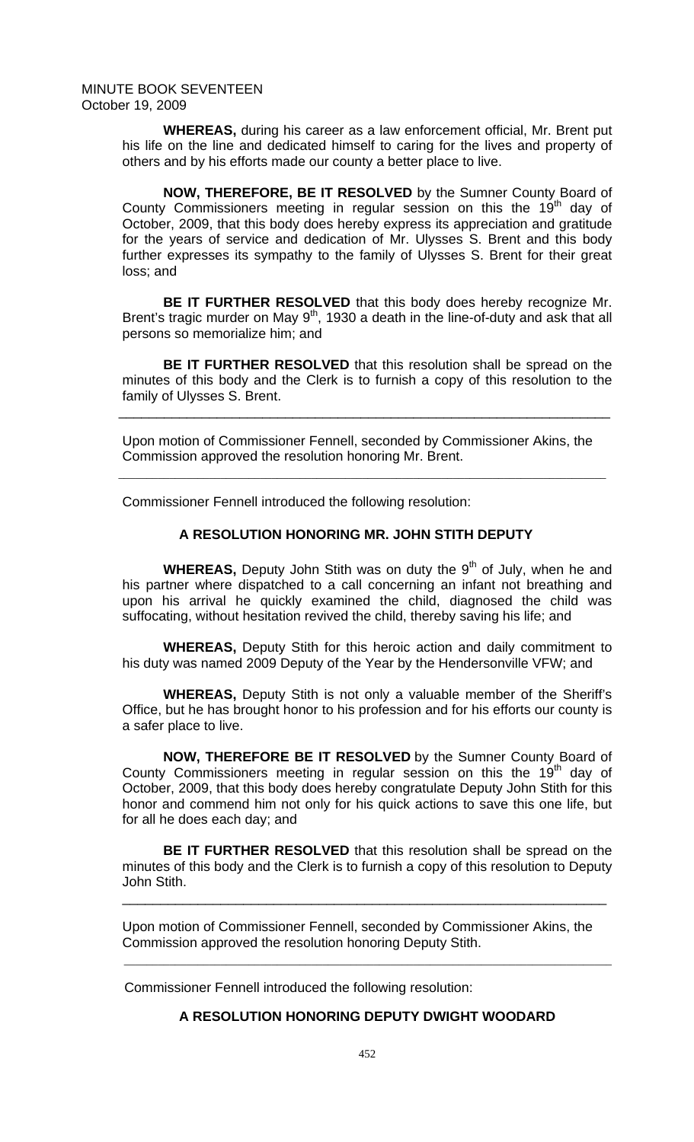**WHEREAS,** during his career as a law enforcement official, Mr. Brent put his life on the line and dedicated himself to caring for the lives and property of others and by his efforts made our county a better place to live.

**NOW, THEREFORE, BE IT RESOLVED** by the Sumner County Board of County Commissioners meeting in regular session on this the  $19<sup>th</sup>$  day of October, 2009, that this body does hereby express its appreciation and gratitude for the years of service and dedication of Mr. Ulysses S. Brent and this body further expresses its sympathy to the family of Ulysses S. Brent for their great loss; and

**BE IT FURTHER RESOLVED** that this body does hereby recognize Mr. Brent's tragic murder on May  $9<sup>th</sup>$ , 1930 a death in the line-of-duty and ask that all persons so memorialize him; and

**BE IT FURTHER RESOLVED** that this resolution shall be spread on the minutes of this body and the Clerk is to furnish a copy of this resolution to the family of Ulysses S. Brent.

Upon motion of Commissioner Fennell, seconded by Commissioner Akins, the Commission approved the resolution honoring Mr. Brent.

\_\_\_\_\_\_\_\_\_\_\_\_\_\_\_\_\_\_\_\_\_\_\_\_\_\_\_\_\_\_\_\_\_\_\_\_\_\_\_\_\_\_\_\_\_\_\_\_\_\_\_\_\_\_\_\_\_\_\_\_\_\_\_\_\_

 $\mathcal{L}_\mathcal{L} = \mathcal{L}_\mathcal{L} = \mathcal{L}_\mathcal{L} = \mathcal{L}_\mathcal{L} = \mathcal{L}_\mathcal{L} = \mathcal{L}_\mathcal{L} = \mathcal{L}_\mathcal{L} = \mathcal{L}_\mathcal{L} = \mathcal{L}_\mathcal{L} = \mathcal{L}_\mathcal{L} = \mathcal{L}_\mathcal{L} = \mathcal{L}_\mathcal{L} = \mathcal{L}_\mathcal{L} = \mathcal{L}_\mathcal{L} = \mathcal{L}_\mathcal{L} = \mathcal{L}_\mathcal{L} = \mathcal{L}_\mathcal{L}$ 

Commissioner Fennell introduced the following resolution:

# **A RESOLUTION HONORING MR. JOHN STITH DEPUTY**

**WHEREAS, Deputy John Stith was on duty the 9<sup>th</sup> of July, when he and** his partner where dispatched to a call concerning an infant not breathing and upon his arrival he quickly examined the child, diagnosed the child was suffocating, without hesitation revived the child, thereby saving his life; and

**WHEREAS,** Deputy Stith for this heroic action and daily commitment to his duty was named 2009 Deputy of the Year by the Hendersonville VFW; and

**WHEREAS,** Deputy Stith is not only a valuable member of the Sheriff's Office, but he has brought honor to his profession and for his efforts our county is a safer place to live.

**NOW, THEREFORE BE IT RESOLVED** by the Sumner County Board of County Commissioners meeting in regular session on this the  $19<sup>th</sup>$  day of October, 2009, that this body does hereby congratulate Deputy John Stith for this honor and commend him not only for his quick actions to save this one life, but for all he does each day; and

**BE IT FURTHER RESOLVED** that this resolution shall be spread on the minutes of this body and the Clerk is to furnish a copy of this resolution to Deputy John Stith.

\_\_\_\_\_\_\_\_\_\_\_\_\_\_\_\_\_\_\_\_\_\_\_\_\_\_\_\_\_\_\_\_\_\_\_\_\_\_\_\_\_\_\_\_\_\_\_\_\_\_\_\_\_\_\_\_\_\_\_\_\_\_\_\_

Upon motion of Commissioner Fennell, seconded by Commissioner Akins, the Commission approved the resolution honoring Deputy Stith.

\_\_\_\_\_\_\_\_\_\_\_\_\_\_\_\_\_\_\_\_\_\_\_\_\_\_\_\_\_\_\_\_\_\_\_\_\_\_\_\_\_\_\_\_\_\_\_\_\_\_\_\_\_\_\_\_\_\_\_\_\_\_\_\_\_\_\_\_\_\_\_\_\_\_\_\_\_\_\_\_\_\_\_\_\_\_

Commissioner Fennell introduced the following resolution:

## **A RESOLUTION HONORING DEPUTY DWIGHT WOODARD**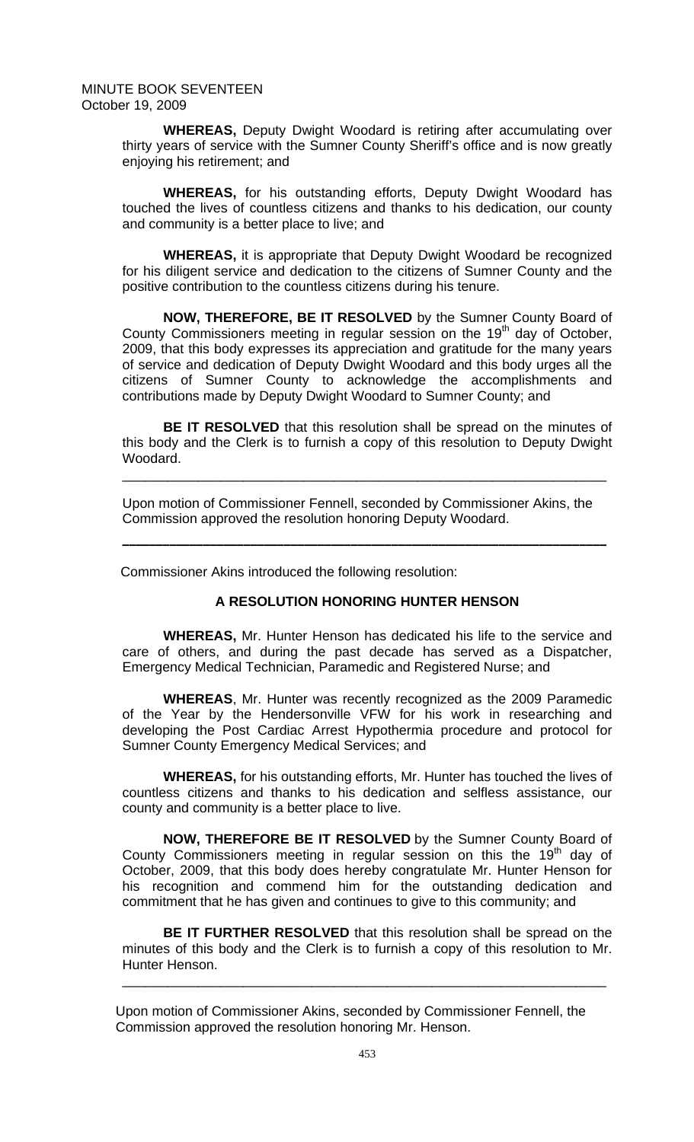**WHEREAS,** Deputy Dwight Woodard is retiring after accumulating over thirty years of service with the Sumner County Sheriff's office and is now greatly enjoying his retirement; and

**WHEREAS,** for his outstanding efforts, Deputy Dwight Woodard has touched the lives of countless citizens and thanks to his dedication, our county and community is a better place to live; and

**WHEREAS,** it is appropriate that Deputy Dwight Woodard be recognized for his diligent service and dedication to the citizens of Sumner County and the positive contribution to the countless citizens during his tenure.

**NOW, THEREFORE, BE IT RESOLVED** by the Sumner County Board of County Commissioners meeting in regular session on the 19<sup>th</sup> day of October, 2009, that this body expresses its appreciation and gratitude for the many years of service and dedication of Deputy Dwight Woodard and this body urges all the citizens of Sumner County to acknowledge the accomplishments and contributions made by Deputy Dwight Woodard to Sumner County; and

**BE IT RESOLVED** that this resolution shall be spread on the minutes of this body and the Clerk is to furnish a copy of this resolution to Deputy Dwight Woodard.

\_\_\_\_\_\_\_\_\_\_\_\_\_\_\_\_\_\_\_\_\_\_\_\_\_\_\_\_\_\_\_\_\_\_\_\_\_\_\_\_\_\_\_\_\_\_\_\_\_\_\_\_\_\_\_\_\_\_\_\_\_\_\_\_

**\_\_\_\_\_\_\_\_\_\_\_\_\_\_\_\_\_\_\_\_\_\_\_\_\_\_\_\_\_\_\_\_\_\_\_\_\_\_\_\_\_\_\_\_\_\_\_\_\_\_\_\_\_\_\_\_\_\_\_\_\_\_\_\_\_\_\_\_\_\_\_\_** 

Upon motion of Commissioner Fennell, seconded by Commissioner Akins, the Commission approved the resolution honoring Deputy Woodard.

Commissioner Akins introduced the following resolution:

## **A RESOLUTION HONORING HUNTER HENSON**

**WHEREAS,** Mr. Hunter Henson has dedicated his life to the service and care of others, and during the past decade has served as a Dispatcher, Emergency Medical Technician, Paramedic and Registered Nurse; and

**WHEREAS**, Mr. Hunter was recently recognized as the 2009 Paramedic of the Year by the Hendersonville VFW for his work in researching and developing the Post Cardiac Arrest Hypothermia procedure and protocol for Sumner County Emergency Medical Services; and

**WHEREAS,** for his outstanding efforts, Mr. Hunter has touched the lives of countless citizens and thanks to his dedication and selfless assistance, our county and community is a better place to live.

**NOW, THEREFORE BE IT RESOLVED** by the Sumner County Board of County Commissioners meeting in regular session on this the  $19<sup>th</sup>$  day of October, 2009, that this body does hereby congratulate Mr. Hunter Henson for his recognition and commend him for the outstanding dedication and commitment that he has given and continues to give to this community; and

**BE IT FURTHER RESOLVED** that this resolution shall be spread on the minutes of this body and the Clerk is to furnish a copy of this resolution to Mr. Hunter Henson.

\_\_\_\_\_\_\_\_\_\_\_\_\_\_\_\_\_\_\_\_\_\_\_\_\_\_\_\_\_\_\_\_\_\_\_\_\_\_\_\_\_\_\_\_\_\_\_\_\_\_\_\_\_\_\_\_\_\_\_\_\_\_\_\_

 Upon motion of Commissioner Akins, seconded by Commissioner Fennell, the Commission approved the resolution honoring Mr. Henson.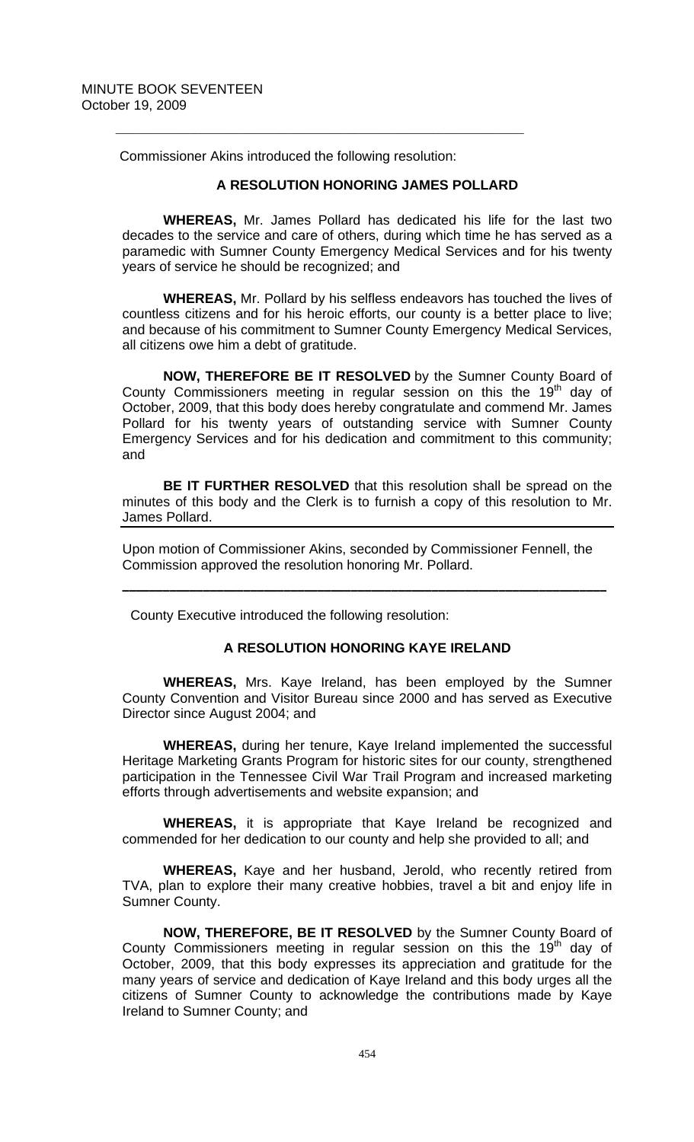Commissioner Akins introduced the following resolution:

 $\overline{\phantom{a}}$  ,  $\overline{\phantom{a}}$  ,  $\overline{\phantom{a}}$  ,  $\overline{\phantom{a}}$  ,  $\overline{\phantom{a}}$  ,  $\overline{\phantom{a}}$  ,  $\overline{\phantom{a}}$  ,  $\overline{\phantom{a}}$  ,  $\overline{\phantom{a}}$  ,  $\overline{\phantom{a}}$  ,  $\overline{\phantom{a}}$  ,  $\overline{\phantom{a}}$  ,  $\overline{\phantom{a}}$  ,  $\overline{\phantom{a}}$  ,  $\overline{\phantom{a}}$  ,  $\overline{\phantom{a}}$ 

## **A RESOLUTION HONORING JAMES POLLARD**

**WHEREAS,** Mr. James Pollard has dedicated his life for the last two decades to the service and care of others, during which time he has served as a paramedic with Sumner County Emergency Medical Services and for his twenty years of service he should be recognized; and

**WHEREAS,** Mr. Pollard by his selfless endeavors has touched the lives of countless citizens and for his heroic efforts, our county is a better place to live; and because of his commitment to Sumner County Emergency Medical Services, all citizens owe him a debt of gratitude.

**NOW, THEREFORE BE IT RESOLVED** by the Sumner County Board of County Commissioners meeting in regular session on this the  $19<sup>th</sup>$  day of October, 2009, that this body does hereby congratulate and commend Mr. James Pollard for his twenty years of outstanding service with Sumner County Emergency Services and for his dedication and commitment to this community; and

**BE IT FURTHER RESOLVED** that this resolution shall be spread on the minutes of this body and the Clerk is to furnish a copy of this resolution to Mr. James Pollard.

Upon motion of Commissioner Akins, seconded by Commissioner Fennell, the Commission approved the resolution honoring Mr. Pollard.

**\_\_\_\_\_\_\_\_\_\_\_\_\_\_\_\_\_\_\_\_\_\_\_\_\_\_\_\_\_\_\_\_\_\_\_\_\_\_\_\_\_\_\_\_\_\_\_\_\_\_\_\_\_\_\_\_\_\_\_\_\_\_\_\_\_\_\_\_\_\_\_\_**

County Executive introduced the following resolution:

## **A RESOLUTION HONORING KAYE IRELAND**

 **WHEREAS,** Mrs. Kaye Ireland, has been employed by the Sumner County Convention and Visitor Bureau since 2000 and has served as Executive Director since August 2004; and

**WHEREAS,** during her tenure, Kaye Ireland implemented the successful Heritage Marketing Grants Program for historic sites for our county, strengthened participation in the Tennessee Civil War Trail Program and increased marketing efforts through advertisements and website expansion; and

**WHEREAS,** it is appropriate that Kaye Ireland be recognized and commended for her dedication to our county and help she provided to all; and

**WHEREAS,** Kaye and her husband, Jerold, who recently retired from TVA, plan to explore their many creative hobbies, travel a bit and enjoy life in Sumner County.

**NOW, THEREFORE, BE IT RESOLVED** by the Sumner County Board of County Commissioners meeting in regular session on this the  $19<sup>th</sup>$  day of October, 2009, that this body expresses its appreciation and gratitude for the many years of service and dedication of Kaye Ireland and this body urges all the citizens of Sumner County to acknowledge the contributions made by Kaye Ireland to Sumner County; and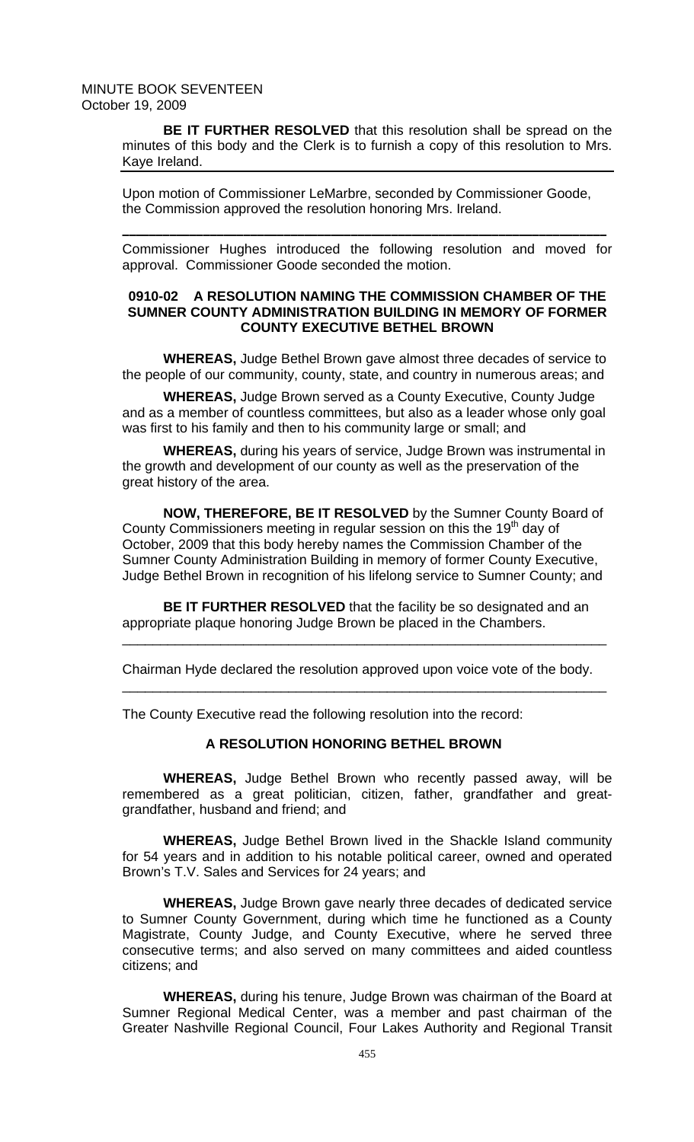**BE IT FURTHER RESOLVED** that this resolution shall be spread on the minutes of this body and the Clerk is to furnish a copy of this resolution to Mrs. Kaye Ireland.

Upon motion of Commissioner LeMarbre, seconded by Commissioner Goode, the Commission approved the resolution honoring Mrs. Ireland.

Commissioner Hughes introduced the following resolution and moved for approval. Commissioner Goode seconded the motion.

**\_\_\_\_\_\_\_\_\_\_\_\_\_\_\_\_\_\_\_\_\_\_\_\_\_\_\_\_\_\_\_\_\_\_\_\_\_\_\_\_\_\_\_\_\_\_\_\_\_\_\_\_\_\_\_\_\_\_\_\_\_\_\_\_\_\_\_\_\_\_\_\_**

## **0910-02 A RESOLUTION NAMING THE COMMISSION CHAMBER OF THE SUMNER COUNTY ADMINISTRATION BUILDING IN MEMORY OF FORMER COUNTY EXECUTIVE BETHEL BROWN**

**WHEREAS,** Judge Bethel Brown gave almost three decades of service to the people of our community, county, state, and country in numerous areas; and

**WHEREAS,** Judge Brown served as a County Executive, County Judge and as a member of countless committees, but also as a leader whose only goal was first to his family and then to his community large or small; and

**WHEREAS,** during his years of service, Judge Brown was instrumental in the growth and development of our county as well as the preservation of the great history of the area.

**NOW, THEREFORE, BE IT RESOLVED** by the Sumner County Board of County Commissioners meeting in regular session on this the 19<sup>th</sup> day of October, 2009 that this body hereby names the Commission Chamber of the Sumner County Administration Building in memory of former County Executive, Judge Bethel Brown in recognition of his lifelong service to Sumner County; and

**BE IT FURTHER RESOLVED** that the facility be so designated and an appropriate plaque honoring Judge Brown be placed in the Chambers.

\_\_\_\_\_\_\_\_\_\_\_\_\_\_\_\_\_\_\_\_\_\_\_\_\_\_\_\_\_\_\_\_\_\_\_\_\_\_\_\_\_\_\_\_\_\_\_\_\_\_\_\_\_\_\_\_\_\_\_\_\_\_\_\_

\_\_\_\_\_\_\_\_\_\_\_\_\_\_\_\_\_\_\_\_\_\_\_\_\_\_\_\_\_\_\_\_\_\_\_\_\_\_\_\_\_\_\_\_\_\_\_\_\_\_\_\_\_\_\_\_\_\_\_\_\_\_\_\_

Chairman Hyde declared the resolution approved upon voice vote of the body.

The County Executive read the following resolution into the record:

#### **A RESOLUTION HONORING BETHEL BROWN**

 **WHEREAS,** Judge Bethel Brown who recently passed away, will be remembered as a great politician, citizen, father, grandfather and greatgrandfather, husband and friend; and

**WHEREAS,** Judge Bethel Brown lived in the Shackle Island community for 54 years and in addition to his notable political career, owned and operated Brown's T.V. Sales and Services for 24 years; and

**WHEREAS,** Judge Brown gave nearly three decades of dedicated service to Sumner County Government, during which time he functioned as a County Magistrate, County Judge, and County Executive, where he served three consecutive terms; and also served on many committees and aided countless citizens; and

**WHEREAS,** during his tenure, Judge Brown was chairman of the Board at Sumner Regional Medical Center, was a member and past chairman of the Greater Nashville Regional Council, Four Lakes Authority and Regional Transit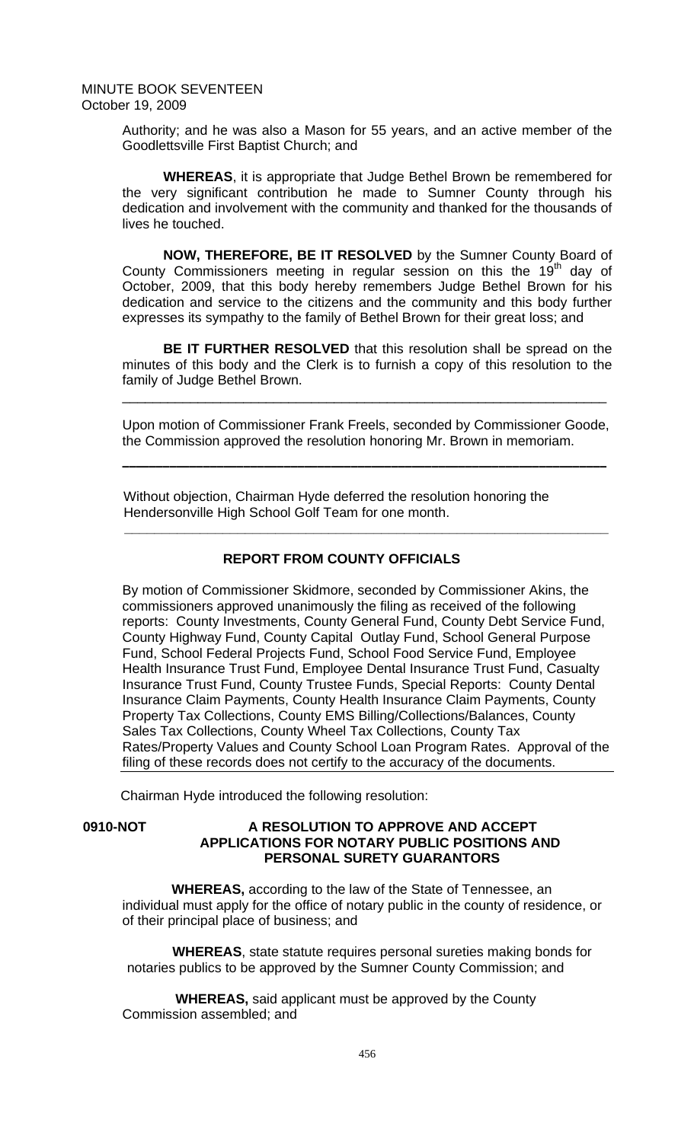> Authority; and he was also a Mason for 55 years, and an active member of the Goodlettsville First Baptist Church; and

> **WHEREAS**, it is appropriate that Judge Bethel Brown be remembered for the very significant contribution he made to Sumner County through his dedication and involvement with the community and thanked for the thousands of lives he touched.

> **NOW, THEREFORE, BE IT RESOLVED** by the Sumner County Board of County Commissioners meeting in regular session on this the  $19<sup>th</sup>$  day of October, 2009, that this body hereby remembers Judge Bethel Brown for his dedication and service to the citizens and the community and this body further expresses its sympathy to the family of Bethel Brown for their great loss; and

> **BE IT FURTHER RESOLVED** that this resolution shall be spread on the minutes of this body and the Clerk is to furnish a copy of this resolution to the family of Judge Bethel Brown.

> Upon motion of Commissioner Frank Freels, seconded by Commissioner Goode, the Commission approved the resolution honoring Mr. Brown in memoriam.

**\_\_\_\_\_\_\_\_\_\_\_\_\_\_\_\_\_\_\_\_\_\_\_\_\_\_\_\_\_\_\_\_\_\_\_\_\_\_\_\_\_\_\_\_\_\_\_\_\_\_\_\_\_\_\_\_\_\_\_\_\_\_\_\_\_\_\_\_\_\_\_\_**

\_\_\_\_\_\_\_\_\_\_\_\_\_\_\_\_\_\_\_\_\_\_\_\_\_\_\_\_\_\_\_\_\_\_\_\_\_\_\_\_\_\_\_\_\_\_\_\_\_\_\_\_\_\_\_\_\_\_\_\_\_\_\_\_

Without objection, Chairman Hyde deferred the resolution honoring the Hendersonville High School Golf Team for one month.

# **REPORT FROM COUNTY OFFICIALS**

 **\_\_\_\_\_\_\_\_\_\_\_\_\_\_\_\_\_\_\_\_\_\_\_\_\_\_\_\_\_\_\_\_\_\_\_\_\_\_\_\_\_\_\_\_\_\_\_\_\_\_\_\_\_\_\_\_\_\_\_\_\_\_\_\_** 

By motion of Commissioner Skidmore, seconded by Commissioner Akins, the commissioners approved unanimously the filing as received of the following reports: County Investments, County General Fund, County Debt Service Fund, County Highway Fund, County Capital Outlay Fund, School General Purpose Fund, School Federal Projects Fund, School Food Service Fund, Employee Health Insurance Trust Fund, Employee Dental Insurance Trust Fund, Casualty Insurance Trust Fund, County Trustee Funds, Special Reports: County Dental Insurance Claim Payments, County Health Insurance Claim Payments, County Property Tax Collections, County EMS Billing/Collections/Balances, County Sales Tax Collections, County Wheel Tax Collections, County Tax Rates/Property Values and County School Loan Program Rates. Approval of the filing of these records does not certify to the accuracy of the documents.

Chairman Hyde introduced the following resolution:

## **0910-NOT A RESOLUTION TO APPROVE AND ACCEPT APPLICATIONS FOR NOTARY PUBLIC POSITIONS AND PERSONAL SURETY GUARANTORS**

 **WHEREAS,** according to the law of the State of Tennessee, an individual must apply for the office of notary public in the county of residence, or of their principal place of business; and

 **WHEREAS**, state statute requires personal sureties making bonds for notaries publics to be approved by the Sumner County Commission; and

 **WHEREAS,** said applicant must be approved by the County Commission assembled; and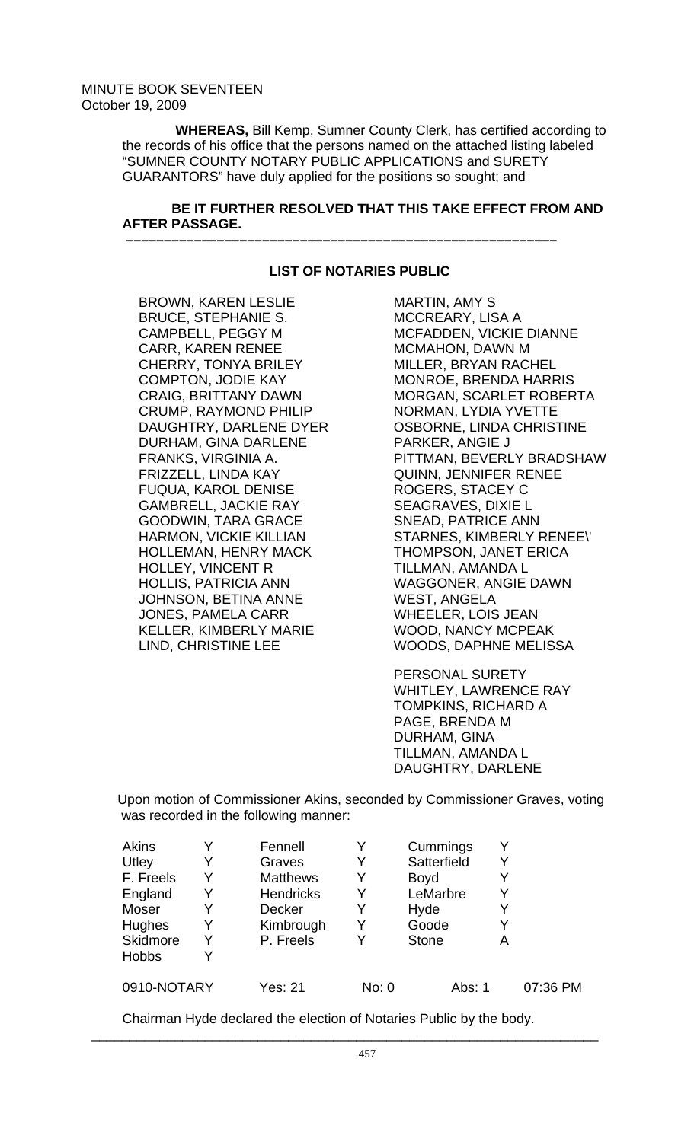**WHEREAS,** Bill Kemp, Sumner County Clerk, has certified according to the records of his office that the persons named on the attached listing labeled "SUMNER COUNTY NOTARY PUBLIC APPLICATIONS and SURETY GUARANTORS" have duly applied for the positions so sought; and

# **BE IT FURTHER RESOLVED THAT THIS TAKE EFFECT FROM AND AFTER PASSAGE.**

# **LIST OF NOTARIES PUBLIC**

 **–––––––––––––––––––––––––––––––––––––––––––––––––––––––––** 

BROWN, KAREN LESLIE BRUCE, STEPHANIE S. CAMPBELL, PEGGY M CARR, KAREN RENEE CHERRY, TONYA BRILEY COMPTON, JODIE KAY CRAIG, BRITTANY DAWN CRUMP, RAYMOND PHILIP DAUGHTRY, DARLENE DYER DURHAM, GINA DARLENE FRANKS, VIRGINIA A. FRIZZELL, LINDA KAY FUQUA, KAROL DENISE GAMBRELL, JACKIE RAY GOODWIN, TARA GRACE HARMON, VICKIE KILLIAN HOLLEMAN, HENRY MACK HOLLEY, VINCENT R HOLLIS, PATRICIA ANN JOHNSON, BETINA ANNE JONES, PAMELA CARR KELLER, KIMBERLY MARIE LIND, CHRISTINE LEE

MARTIN, AMY S MCCREARY, LISA A MCFADDEN, VICKIE DIANNE MCMAHON, DAWN M MILLER, BRYAN RACHEL MONROE, BRENDA HARRIS MORGAN, SCARLET ROBERTA NORMAN, LYDIA YVETTE OSBORNE, LINDA CHRISTINE PARKER, ANGIE J PITTMAN, BEVERLY BRADSHAW QUINN, JENNIFER RENEE ROGERS, STACEY C SEAGRAVES, DIXIE L SNEAD, PATRICE ANN STARNES, KIMBERLY RENEE\' THOMPSON, JANET ERICA TILLMAN, AMANDA L WAGGONER, ANGIE DAWN WEST, ANGELA WHEELER, LOIS JEAN WOOD, NANCY MCPEAK WOODS, DAPHNE MELISSA

PERSONAL SURETY WHITLEY, LAWRENCE RAY TOMPKINS, RICHARD A PAGE, BRENDA M DURHAM, GINA TILLMAN, AMANDA L DAUGHTRY, DARLENE

Upon motion of Commissioner Akins, seconded by Commissioner Graves, voting was recorded in the following manner:

| Akins        |   | Fennell          | Y     | Cummings     |   |          |
|--------------|---|------------------|-------|--------------|---|----------|
| Utley        |   | Graves           | Y     | Satterfield  | Y |          |
| F. Freels    | Y | <b>Matthews</b>  | Y     | <b>Boyd</b>  |   |          |
| England      | Y | <b>Hendricks</b> | Y     | LeMarbre     | Y |          |
| Moser        | Y | <b>Decker</b>    | Y     | Hyde         | Y |          |
| Hughes       | Y | Kimbrough        | Y     | Goode        | Y |          |
| Skidmore     | Y | P. Freels        |       | <b>Stone</b> | Α |          |
| <b>Hobbs</b> | Y |                  |       |              |   |          |
| 0910-NOTARY  |   | <b>Yes: 21</b>   | No: 0 | Abs: 1       |   | 07:36 PM |

Chairman Hyde declared the election of Notaries Public by the body.

 $\overline{\phantom{a}}$  , and the contribution of the contribution of the contribution of the contribution of the contribution of the contribution of the contribution of the contribution of the contribution of the contribution of the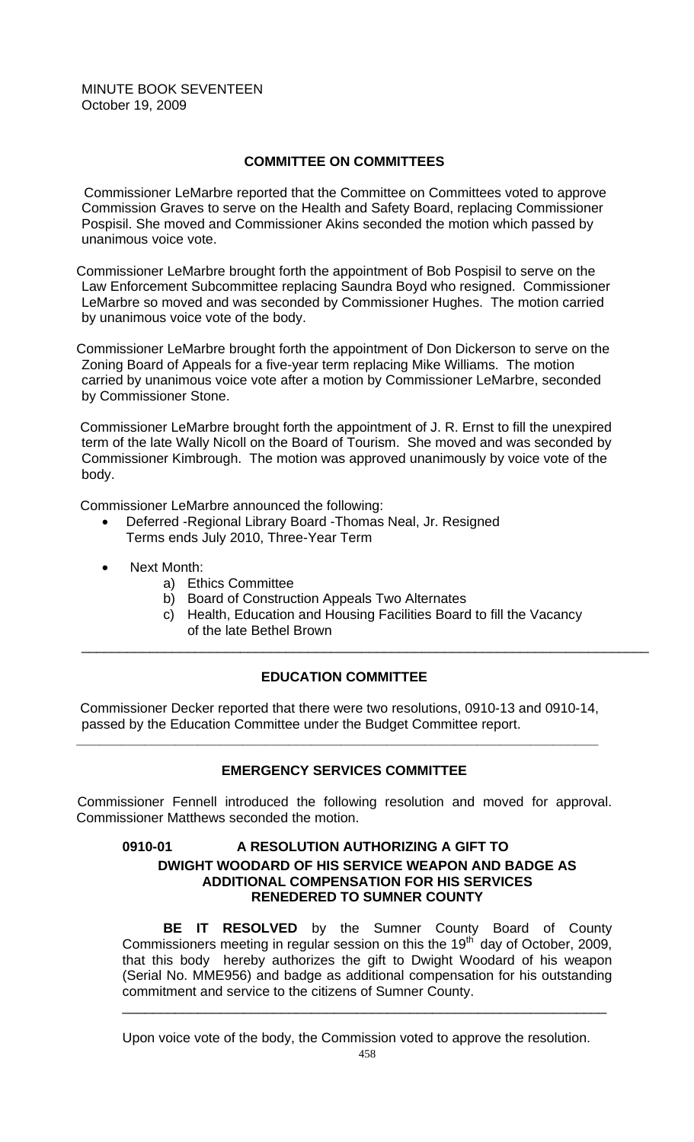# **COMMITTEE ON COMMITTEES**

 Commissioner LeMarbre reported that the Committee on Committees voted to approve Commission Graves to serve on the Health and Safety Board, replacing Commissioner Pospisil. She moved and Commissioner Akins seconded the motion which passed by unanimous voice vote.

Commissioner LeMarbre brought forth the appointment of Bob Pospisil to serve on the Law Enforcement Subcommittee replacing Saundra Boyd who resigned. Commissioner LeMarbre so moved and was seconded by Commissioner Hughes. The motion carried by unanimous voice vote of the body.

Commissioner LeMarbre brought forth the appointment of Don Dickerson to serve on the Zoning Board of Appeals for a five-year term replacing Mike Williams. The motion carried by unanimous voice vote after a motion by Commissioner LeMarbre, seconded by Commissioner Stone.

 Commissioner LeMarbre brought forth the appointment of J. R. Ernst to fill the unexpired term of the late Wally Nicoll on the Board of Tourism. She moved and was seconded by Commissioner Kimbrough. The motion was approved unanimously by voice vote of the body.

Commissioner LeMarbre announced the following:

- Deferred -Regional Library Board -Thomas Neal, Jr. Resigned Terms ends July 2010, Three-Year Term
- Next Month:
	- a) Ethics Committee
	- b) Board of Construction Appeals Two Alternates
	- c) Health, Education and Housing Facilities Board to fill the Vacancy of the late Bethel Brown

\_\_\_\_\_\_\_\_\_\_\_\_\_\_\_\_\_\_\_\_\_\_\_\_\_\_\_\_\_\_\_\_\_\_\_\_\_\_\_\_\_\_\_\_\_\_\_\_\_\_\_\_\_\_\_\_\_\_\_\_\_\_\_\_\_\_\_\_\_\_\_\_\_\_\_

# **EDUCATION COMMITTEE**

 Commissioner Decker reported that there were two resolutions, 0910-13 and 0910-14, passed by the Education Committee under the Budget Committee report.

**\_\_\_\_\_\_\_\_\_\_\_\_\_\_\_\_\_\_\_\_\_\_\_\_\_\_\_\_\_\_\_\_\_\_\_\_\_\_\_\_\_\_\_\_\_\_\_\_\_\_\_\_\_\_\_\_\_\_\_\_\_\_\_\_\_\_\_\_\_** 

# **EMERGENCY SERVICES COMMITTEE**

 Commissioner Fennell introduced the following resolution and moved for approval. Commissioner Matthews seconded the motion.

# **0910-01 A RESOLUTION AUTHORIZING A GIFT TO DWIGHT WOODARD OF HIS SERVICE WEAPON AND BADGE AS ADDITIONAL COMPENSATION FOR HIS SERVICES RENEDERED TO SUMNER COUNTY**

**BE IT RESOLVED** by the Sumner County Board of County Commissioners meeting in regular session on this the  $19<sup>th</sup>$  day of October, 2009, that this body hereby authorizes the gift to Dwight Woodard of his weapon (Serial No. MME956) and badge as additional compensation for his outstanding commitment and service to the citizens of Sumner County.

Upon voice vote of the body, the Commission voted to approve the resolution.

\_\_\_\_\_\_\_\_\_\_\_\_\_\_\_\_\_\_\_\_\_\_\_\_\_\_\_\_\_\_\_\_\_\_\_\_\_\_\_\_\_\_\_\_\_\_\_\_\_\_\_\_\_\_\_\_\_\_\_\_\_\_\_\_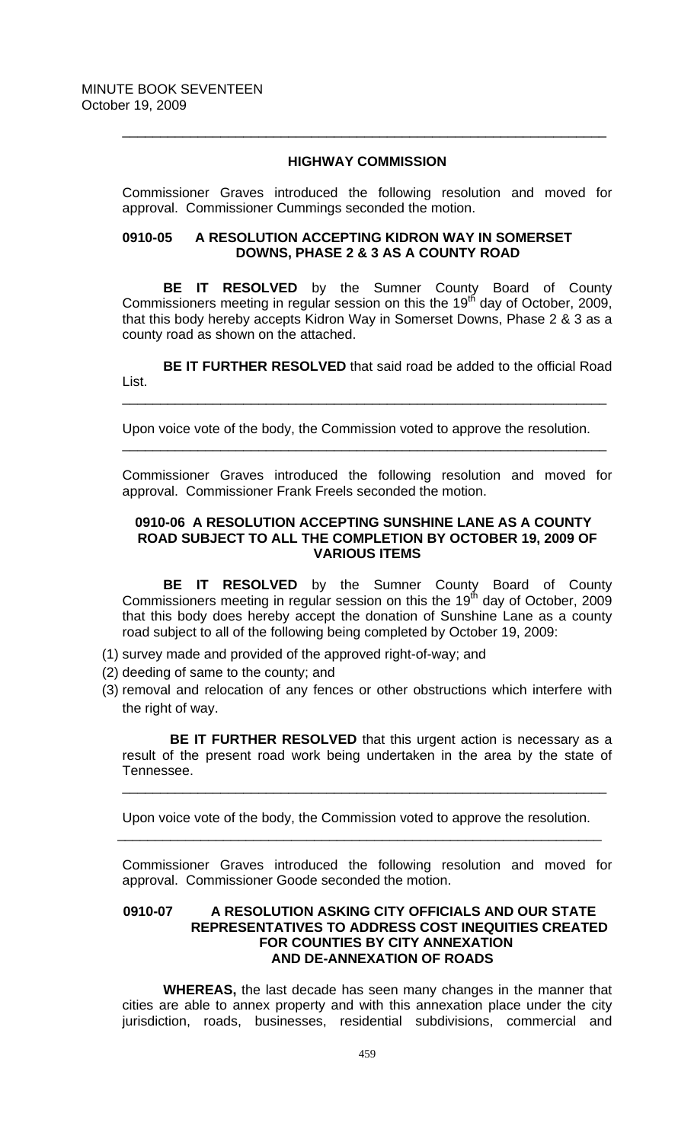# **HIGHWAY COMMISSION**

\_\_\_\_\_\_\_\_\_\_\_\_\_\_\_\_\_\_\_\_\_\_\_\_\_\_\_\_\_\_\_\_\_\_\_\_\_\_\_\_\_\_\_\_\_\_\_\_\_\_\_\_\_\_\_\_\_\_\_\_\_\_\_\_

Commissioner Graves introduced the following resolution and moved for approval. Commissioner Cummings seconded the motion.

## **0910-05 A RESOLUTION ACCEPTING KIDRON WAY IN SOMERSET DOWNS, PHASE 2 & 3 AS A COUNTY ROAD**

**BE IT RESOLVED** by the Sumner County Board of County Commissioners meeting in regular session on this the 19<sup>th</sup> day of October, 2009, that this body hereby accepts Kidron Way in Somerset Downs, Phase 2 & 3 as a county road as shown on the attached.

**BE IT FURTHER RESOLVED** that said road be added to the official Road List.

\_\_\_\_\_\_\_\_\_\_\_\_\_\_\_\_\_\_\_\_\_\_\_\_\_\_\_\_\_\_\_\_\_\_\_\_\_\_\_\_\_\_\_\_\_\_\_\_\_\_\_\_\_\_\_\_\_\_\_\_\_\_\_\_

Upon voice vote of the body, the Commission voted to approve the resolution.

Commissioner Graves introduced the following resolution and moved for approval. Commissioner Frank Freels seconded the motion.

\_\_\_\_\_\_\_\_\_\_\_\_\_\_\_\_\_\_\_\_\_\_\_\_\_\_\_\_\_\_\_\_\_\_\_\_\_\_\_\_\_\_\_\_\_\_\_\_\_\_\_\_\_\_\_\_\_\_\_\_\_\_\_\_

## **0910-06 A RESOLUTION ACCEPTING SUNSHINE LANE AS A COUNTY ROAD SUBJECT TO ALL THE COMPLETION BY OCTOBER 19, 2009 OF VARIOUS ITEMS**

**BE IT RESOLVED** by the Sumner County Board of County Commissioners meeting in regular session on this the 19<sup>th</sup> day of October, 2009 that this body does hereby accept the donation of Sunshine Lane as a county road subject to all of the following being completed by October 19, 2009:

- (1) survey made and provided of the approved right-of-way; and
- (2) deeding of same to the county; and
- (3) removal and relocation of any fences or other obstructions which interfere with the right of way.

**BE IT FURTHER RESOLVED** that this urgent action is necessary as a result of the present road work being undertaken in the area by the state of Tennessee. \_\_\_\_\_\_\_\_\_\_\_\_\_\_\_\_\_\_\_\_\_\_\_\_\_\_\_\_\_\_\_\_\_\_\_\_\_\_\_\_\_\_\_\_\_\_\_\_\_\_\_\_\_\_\_\_\_\_\_\_\_\_\_\_

Upon voice vote of the body, the Commission voted to approve the resolution. \_\_\_\_\_\_\_\_\_\_\_\_\_\_\_\_\_\_\_\_\_\_\_\_\_\_\_\_\_\_\_\_\_\_\_\_\_\_\_\_\_\_\_\_\_\_\_\_\_\_\_\_\_\_\_\_\_\_\_\_\_\_\_\_

Commissioner Graves introduced the following resolution and moved for approval. Commissioner Goode seconded the motion.

## **0910-07 A RESOLUTION ASKING CITY OFFICIALS AND OUR STATE REPRESENTATIVES TO ADDRESS COST INEQUITIES CREATED FOR COUNTIES BY CITY ANNEXATION AND DE-ANNEXATION OF ROADS**

**WHEREAS,** the last decade has seen many changes in the manner that cities are able to annex property and with this annexation place under the city jurisdiction, roads, businesses, residential subdivisions, commercial and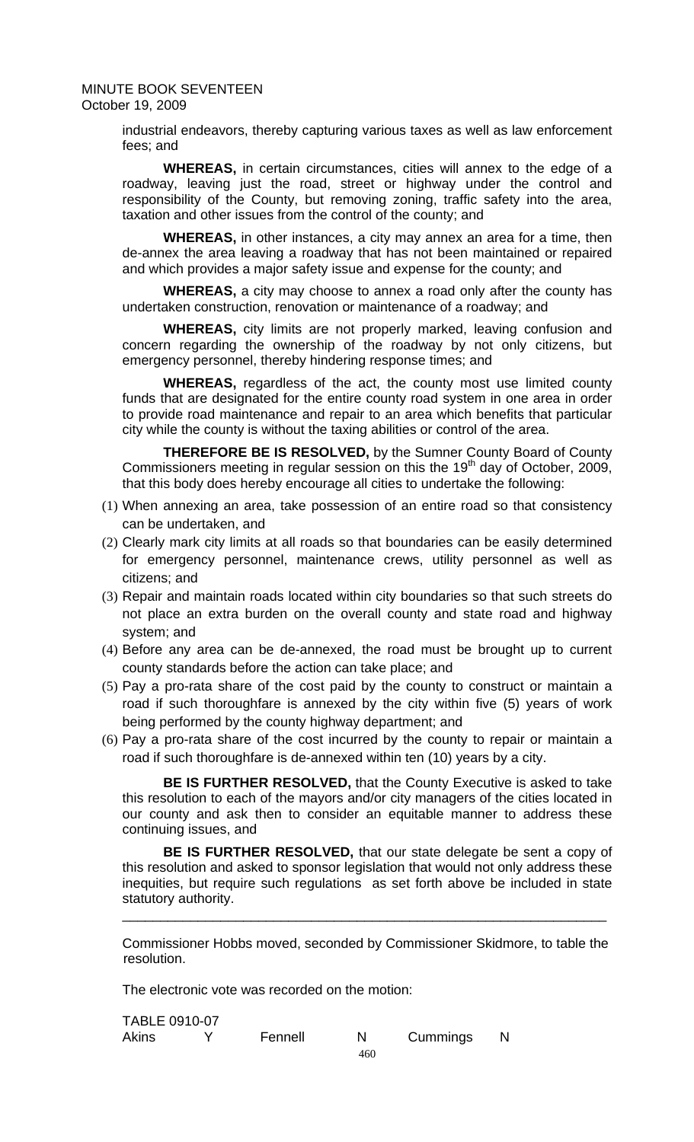industrial endeavors, thereby capturing various taxes as well as law enforcement fees; and

**WHEREAS,** in certain circumstances, cities will annex to the edge of a roadway, leaving just the road, street or highway under the control and responsibility of the County, but removing zoning, traffic safety into the area, taxation and other issues from the control of the county; and

**WHEREAS,** in other instances, a city may annex an area for a time, then de-annex the area leaving a roadway that has not been maintained or repaired and which provides a major safety issue and expense for the county; and

**WHEREAS,** a city may choose to annex a road only after the county has undertaken construction, renovation or maintenance of a roadway; and

**WHEREAS,** city limits are not properly marked, leaving confusion and concern regarding the ownership of the roadway by not only citizens, but emergency personnel, thereby hindering response times; and

**WHEREAS,** regardless of the act, the county most use limited county funds that are designated for the entire county road system in one area in order to provide road maintenance and repair to an area which benefits that particular city while the county is without the taxing abilities or control of the area.

**THEREFORE BE IS RESOLVED,** by the Sumner County Board of County Commissioners meeting in regular session on this the 19<sup>th</sup> day of October, 2009, that this body does hereby encourage all cities to undertake the following:

- (1) When annexing an area, take possession of an entire road so that consistency can be undertaken, and
- (2) Clearly mark city limits at all roads so that boundaries can be easily determined for emergency personnel, maintenance crews, utility personnel as well as citizens; and
- (3) Repair and maintain roads located within city boundaries so that such streets do not place an extra burden on the overall county and state road and highway system; and
- (4) Before any area can be de-annexed, the road must be brought up to current county standards before the action can take place; and
- (5) Pay a pro-rata share of the cost paid by the county to construct or maintain a road if such thoroughfare is annexed by the city within five (5) years of work being performed by the county highway department; and
- (6) Pay a pro-rata share of the cost incurred by the county to repair or maintain a road if such thoroughfare is de-annexed within ten (10) years by a city.

**BE IS FURTHER RESOLVED,** that the County Executive is asked to take this resolution to each of the mayors and/or city managers of the cities located in our county and ask then to consider an equitable manner to address these continuing issues, and

**BE IS FURTHER RESOLVED,** that our state delegate be sent a copy of this resolution and asked to sponsor legislation that would not only address these inequities, but require such regulations as set forth above be included in state statutory authority.

Commissioner Hobbs moved, seconded by Commissioner Skidmore, to table the resolution.

\_\_\_\_\_\_\_\_\_\_\_\_\_\_\_\_\_\_\_\_\_\_\_\_\_\_\_\_\_\_\_\_\_\_\_\_\_\_\_\_\_\_\_\_\_\_\_\_\_\_\_\_\_\_\_\_\_\_\_\_\_\_\_\_

The electronic vote was recorded on the motion:

| TABLE 0910-07 |         |     |          |  |
|---------------|---------|-----|----------|--|
| <b>Akins</b>  | Fennell |     | Cummings |  |
|               |         | 460 |          |  |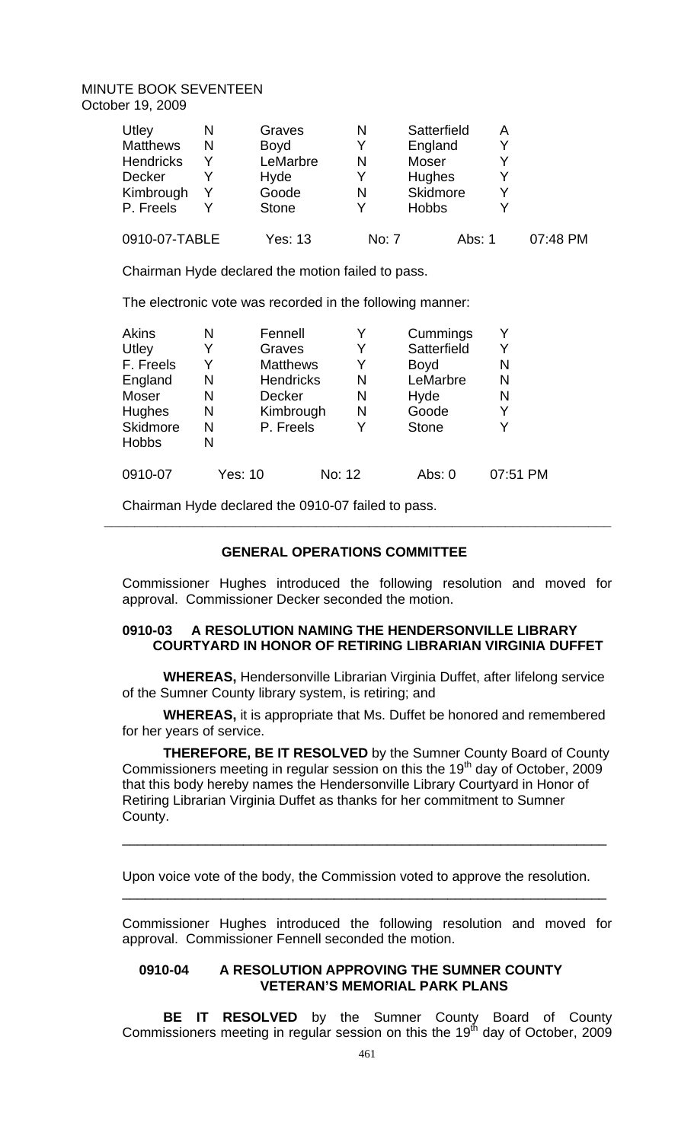| Utley            | N | Graves       | N     | Satterfield   | A      |          |
|------------------|---|--------------|-------|---------------|--------|----------|
| <b>Matthews</b>  | N | <b>Boyd</b>  | Y     | England       |        |          |
| <b>Hendricks</b> |   | LeMarbre     | N     | Moser         |        |          |
| <b>Decker</b>    |   | Hyde         | Y     | <b>Hughes</b> |        |          |
| Kimbrough        |   | Goode        | N     | Skidmore      |        |          |
| P. Freels        |   | <b>Stone</b> | Y     | <b>Hobbs</b>  |        |          |
| 0910-07-TABLE    |   | Yes: 13      | No: 7 |               | Abs: 1 | 07:48 PM |

Chairman Hyde declared the motion failed to pass.

The electronic vote was recorded in the following manner:

| <b>Akins</b> | N | Fennell          |        | Cummings     | Y        |
|--------------|---|------------------|--------|--------------|----------|
| Utley        | Y | Graves           | Y      | Satterfield  | Y        |
| F. Freels    | Y | <b>Matthews</b>  | Y      | <b>Boyd</b>  | N        |
| England      | N | <b>Hendricks</b> | N      | LeMarbre     | N        |
| Moser        | N | Decker           | N      | Hyde         | N        |
| Hughes       | N | Kimbrough        | N      | Goode        | Y        |
| Skidmore     | N | P. Freels        | Y      | <b>Stone</b> | Y        |
| <b>Hobbs</b> | N |                  |        |              |          |
| 0910-07      |   | Yes: 10          | No: 12 | Abs: 0       | 07:51 PM |

Chairman Hyde declared the 0910-07 failed to pass.

# **GENERAL OPERATIONS COMMITTEE**

 **\_\_\_\_\_\_\_\_\_\_\_\_\_\_\_\_\_\_\_\_\_\_\_\_\_\_\_\_\_\_\_\_\_\_\_\_\_\_\_\_\_\_\_\_\_\_\_\_\_\_\_\_\_\_\_\_\_\_\_\_\_\_\_\_\_\_\_** 

Commissioner Hughes introduced the following resolution and moved for approval. Commissioner Decker seconded the motion.

## **0910-03 A RESOLUTION NAMING THE HENDERSONVILLE LIBRARY COURTYARD IN HONOR OF RETIRING LIBRARIAN VIRGINIA DUFFET**

**WHEREAS,** Hendersonville Librarian Virginia Duffet, after lifelong service of the Sumner County library system, is retiring; and

**WHEREAS,** it is appropriate that Ms. Duffet be honored and remembered for her years of service.

**THEREFORE, BE IT RESOLVED** by the Sumner County Board of County Commissioners meeting in regular session on this the 19th day of October, 2009 that this body hereby names the Hendersonville Library Courtyard in Honor of Retiring Librarian Virginia Duffet as thanks for her commitment to Sumner County.

\_\_\_\_\_\_\_\_\_\_\_\_\_\_\_\_\_\_\_\_\_\_\_\_\_\_\_\_\_\_\_\_\_\_\_\_\_\_\_\_\_\_\_\_\_\_\_\_\_\_\_\_\_\_\_\_\_\_\_\_\_\_\_\_

Upon voice vote of the body, the Commission voted to approve the resolution.

Commissioner Hughes introduced the following resolution and moved for approval. Commissioner Fennell seconded the motion.

\_\_\_\_\_\_\_\_\_\_\_\_\_\_\_\_\_\_\_\_\_\_\_\_\_\_\_\_\_\_\_\_\_\_\_\_\_\_\_\_\_\_\_\_\_\_\_\_\_\_\_\_\_\_\_\_\_\_\_\_\_\_\_\_

## **0910-04 A RESOLUTION APPROVING THE SUMNER COUNTY VETERAN'S MEMORIAL PARK PLANS**

**BE IT RESOLVED** by the Sumner County Board of County Commissioners meeting in regular session on this the  $19<sup>th</sup>$  day of October, 2009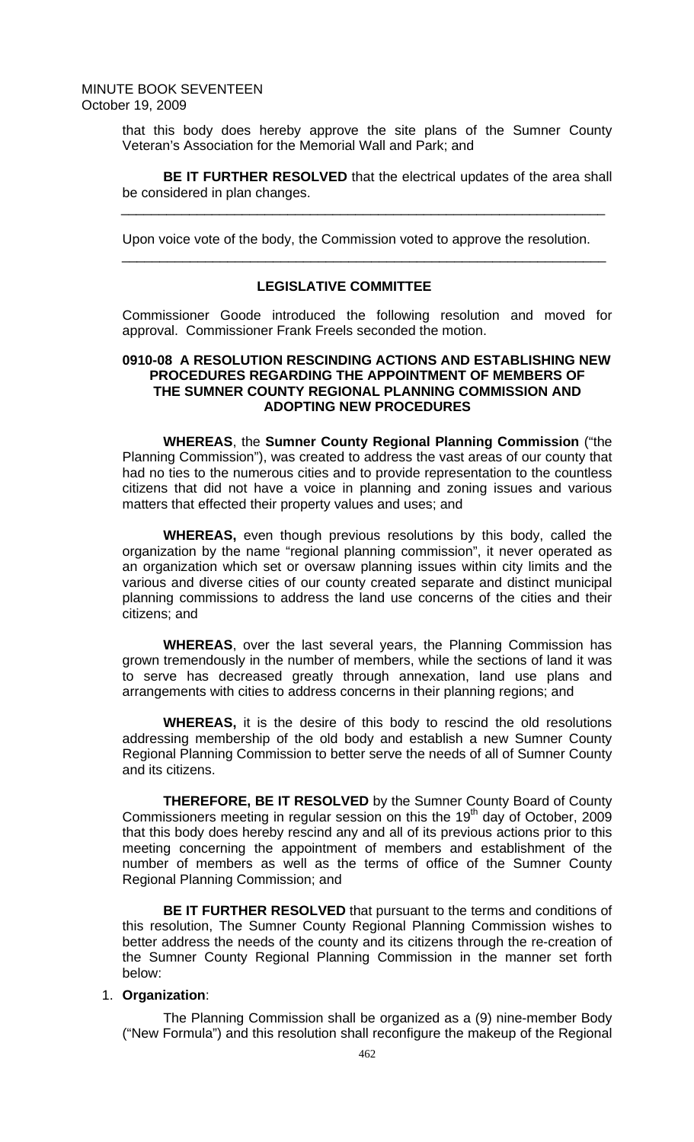that this body does hereby approve the site plans of the Sumner County Veteran's Association for the Memorial Wall and Park; and

**BE IT FURTHER RESOLVED** that the electrical updates of the area shall be considered in plan changes.

Upon voice vote of the body, the Commission voted to approve the resolution.

## **LEGISLATIVE COMMITTEE**

\_\_\_\_\_\_\_\_\_\_\_\_\_\_\_\_\_\_\_\_\_\_\_\_\_\_\_\_\_\_\_\_\_\_\_\_\_\_\_\_\_\_\_\_\_\_\_\_\_\_\_\_\_\_\_\_\_\_\_\_\_\_\_\_

\_\_\_\_\_\_\_\_\_\_\_\_\_\_\_\_\_\_\_\_\_\_\_\_\_\_\_\_\_\_\_\_\_\_\_\_\_\_\_\_\_\_\_\_\_\_\_\_\_\_\_\_\_\_\_\_\_\_\_\_\_\_\_\_

Commissioner Goode introduced the following resolution and moved for approval. Commissioner Frank Freels seconded the motion.

# **0910-08 A RESOLUTION RESCINDING ACTIONS AND ESTABLISHING NEW PROCEDURES REGARDING THE APPOINTMENT OF MEMBERS OF THE SUMNER COUNTY REGIONAL PLANNING COMMISSION AND ADOPTING NEW PROCEDURES**

**WHEREAS**, the **Sumner County Regional Planning Commission** ("the Planning Commission"), was created to address the vast areas of our county that had no ties to the numerous cities and to provide representation to the countless citizens that did not have a voice in planning and zoning issues and various matters that effected their property values and uses; and

**WHEREAS,** even though previous resolutions by this body, called the organization by the name "regional planning commission", it never operated as an organization which set or oversaw planning issues within city limits and the various and diverse cities of our county created separate and distinct municipal planning commissions to address the land use concerns of the cities and their citizens; and

**WHEREAS**, over the last several years, the Planning Commission has grown tremendously in the number of members, while the sections of land it was to serve has decreased greatly through annexation, land use plans and arrangements with cities to address concerns in their planning regions; and

**WHEREAS,** it is the desire of this body to rescind the old resolutions addressing membership of the old body and establish a new Sumner County Regional Planning Commission to better serve the needs of all of Sumner County and its citizens.

**THEREFORE, BE IT RESOLVED** by the Sumner County Board of County Commissioners meeting in regular session on this the  $19<sup>th</sup>$  day of October, 2009 that this body does hereby rescind any and all of its previous actions prior to this meeting concerning the appointment of members and establishment of the number of members as well as the terms of office of the Sumner County Regional Planning Commission; and

**BE IT FURTHER RESOLVED** that pursuant to the terms and conditions of this resolution, The Sumner County Regional Planning Commission wishes to better address the needs of the county and its citizens through the re-creation of the Sumner County Regional Planning Commission in the manner set forth below:

## 1. **Organization**:

The Planning Commission shall be organized as a (9) nine-member Body ("New Formula") and this resolution shall reconfigure the makeup of the Regional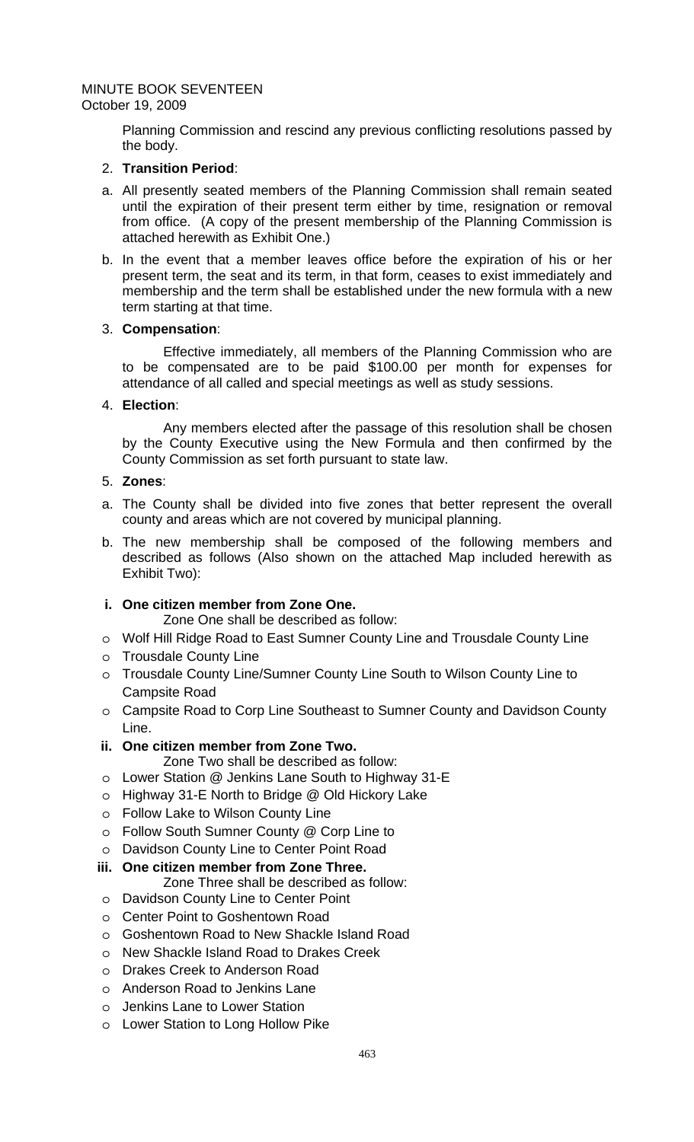Planning Commission and rescind any previous conflicting resolutions passed by the body.

# 2. **Transition Period**:

- a. All presently seated members of the Planning Commission shall remain seated until the expiration of their present term either by time, resignation or removal from office. (A copy of the present membership of the Planning Commission is attached herewith as Exhibit One.)
- b. In the event that a member leaves office before the expiration of his or her present term, the seat and its term, in that form, ceases to exist immediately and membership and the term shall be established under the new formula with a new term starting at that time.

## 3. **Compensation**:

Effective immediately, all members of the Planning Commission who are to be compensated are to be paid \$100.00 per month for expenses for attendance of all called and special meetings as well as study sessions.

# 4. **Election**:

Any members elected after the passage of this resolution shall be chosen by the County Executive using the New Formula and then confirmed by the County Commission as set forth pursuant to state law.

## 5. **Zones**:

- a. The County shall be divided into five zones that better represent the overall county and areas which are not covered by municipal planning.
- b. The new membership shall be composed of the following members and described as follows (Also shown on the attached Map included herewith as Exhibit Two):

# **i. One citizen member from Zone One.**

Zone One shall be described as follow:

- o Wolf Hill Ridge Road to East Sumner County Line and Trousdale County Line
- o Trousdale County Line
- o Trousdale County Line/Sumner County Line South to Wilson County Line to Campsite Road
- o Campsite Road to Corp Line Southeast to Sumner County and Davidson County Line.

# **ii. One citizen member from Zone Two.**

Zone Two shall be described as follow:

- o Lower Station @ Jenkins Lane South to Highway 31-E
- o Highway 31-E North to Bridge @ Old Hickory Lake
- o Follow Lake to Wilson County Line
- o Follow South Sumner County @ Corp Line to
- o Davidson County Line to Center Point Road

# **iii. One citizen member from Zone Three.**

Zone Three shall be described as follow:

- o Davidson County Line to Center Point
- o Center Point to Goshentown Road
- o Goshentown Road to New Shackle Island Road
- o New Shackle Island Road to Drakes Creek
- o Drakes Creek to Anderson Road
- o Anderson Road to Jenkins Lane
- o Jenkins Lane to Lower Station
- o Lower Station to Long Hollow Pike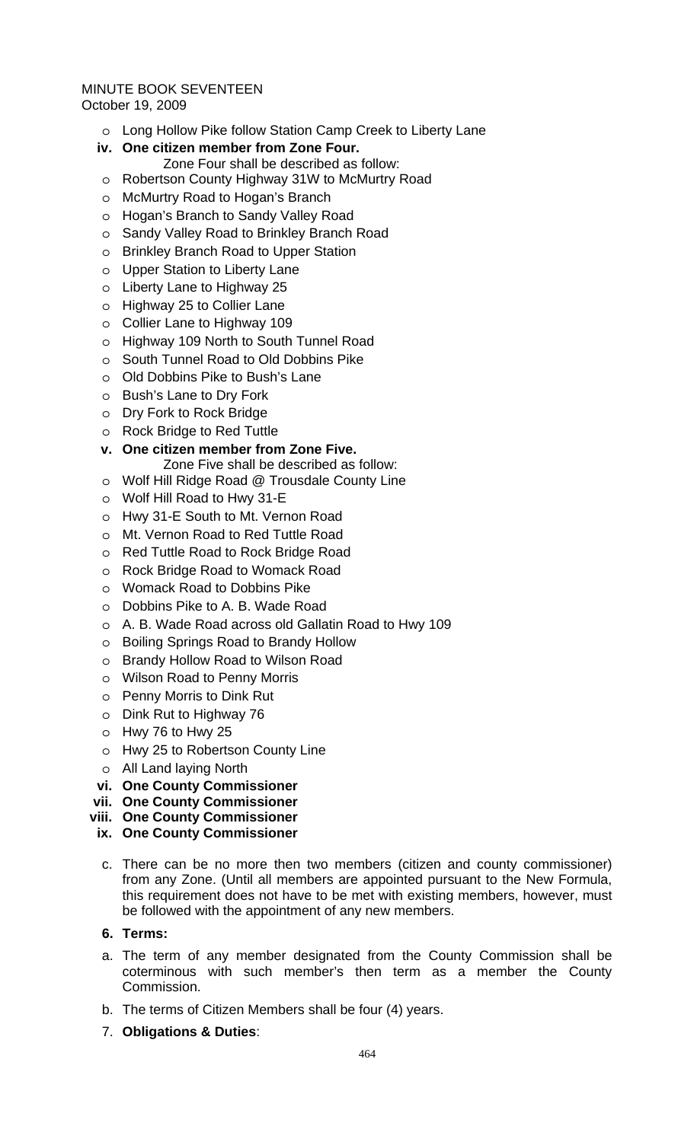- o Long Hollow Pike follow Station Camp Creek to Liberty Lane
- **iv. One citizen member from Zone Four.**  Zone Four shall be described as follow:
- o Robertson County Highway 31W to McMurtry Road
- o McMurtry Road to Hogan's Branch
- o Hogan's Branch to Sandy Valley Road
- o Sandy Valley Road to Brinkley Branch Road
- o Brinkley Branch Road to Upper Station
- o Upper Station to Liberty Lane
- o Liberty Lane to Highway 25
- o Highway 25 to Collier Lane
- o Collier Lane to Highway 109
- o Highway 109 North to South Tunnel Road
- o South Tunnel Road to Old Dobbins Pike
- o Old Dobbins Pike to Bush's Lane
- o Bush's Lane to Dry Fork
- o Dry Fork to Rock Bridge
- o Rock Bridge to Red Tuttle
- **v. One citizen member from Zone Five.** 
	- Zone Five shall be described as follow:
- o Wolf Hill Ridge Road @ Trousdale County Line
- o Wolf Hill Road to Hwy 31-E
- o Hwy 31-E South to Mt. Vernon Road
- o Mt. Vernon Road to Red Tuttle Road
- o Red Tuttle Road to Rock Bridge Road
- o Rock Bridge Road to Womack Road
- o Womack Road to Dobbins Pike
- o Dobbins Pike to A. B. Wade Road
- o A. B. Wade Road across old Gallatin Road to Hwy 109
- o Boiling Springs Road to Brandy Hollow
- o Brandy Hollow Road to Wilson Road
- o Wilson Road to Penny Morris
- o Penny Morris to Dink Rut
- o Dink Rut to Highway 76
- o Hwy 76 to Hwy 25
- o Hwy 25 to Robertson County Line
- o All Land laying North
- **vi. One County Commissioner**
- **vii. One County Commissioner**
- **viii. One County Commissioner**
- **ix. One County Commissioner**
- c. There can be no more then two members (citizen and county commissioner) from any Zone. (Until all members are appointed pursuant to the New Formula, this requirement does not have to be met with existing members, however, must be followed with the appointment of any new members.

## **6. Terms:**

- a. The term of any member designated from the County Commission shall be coterminous with such member's then term as a member the County Commission.
- b. The terms of Citizen Members shall be four (4) years.
- 7. **Obligations & Duties**: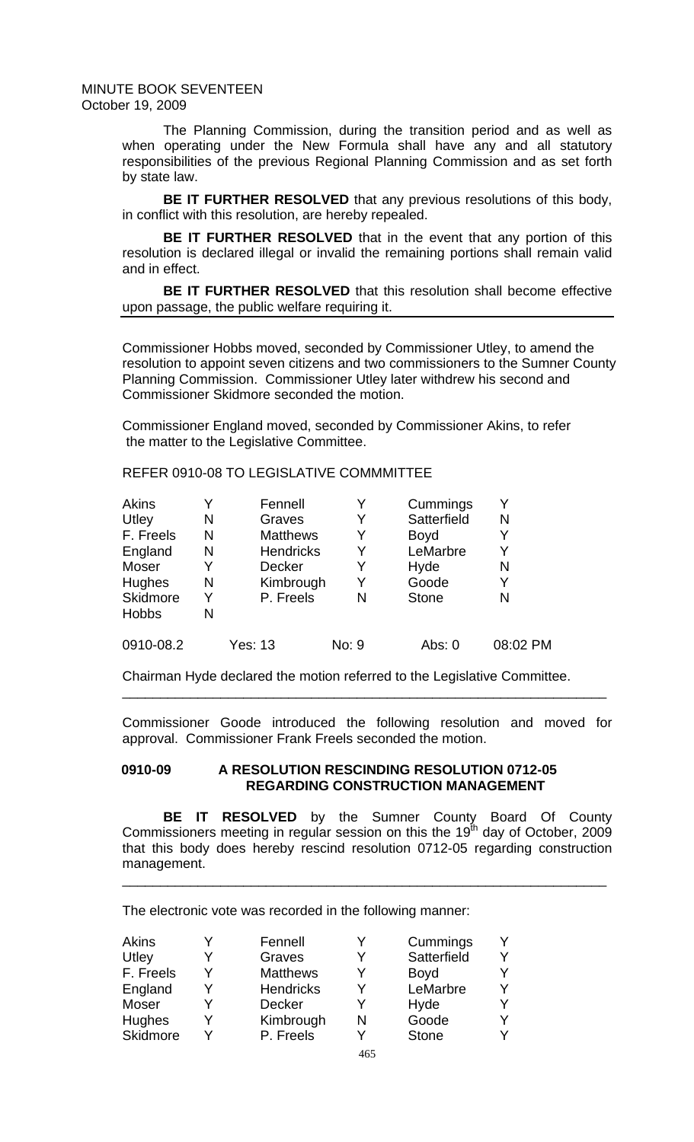> The Planning Commission, during the transition period and as well as when operating under the New Formula shall have any and all statutory responsibilities of the previous Regional Planning Commission and as set forth by state law.

> **BE IT FURTHER RESOLVED** that any previous resolutions of this body, in conflict with this resolution, are hereby repealed.

> **BE IT FURTHER RESOLVED** that in the event that any portion of this resolution is declared illegal or invalid the remaining portions shall remain valid and in effect.

> **BE IT FURTHER RESOLVED** that this resolution shall become effective upon passage, the public welfare requiring it.

> Commissioner Hobbs moved, seconded by Commissioner Utley, to amend the resolution to appoint seven citizens and two commissioners to the Sumner County Planning Commission. Commissioner Utley later withdrew his second and Commissioner Skidmore seconded the motion.

Commissioner England moved, seconded by Commissioner Akins, to refer the matter to the Legislative Committee.

REFER 0910-08 TO LEGISLATIVE COMMMITTEE

| Akins        |   | Fennell          | v     | Cummings     | Y        |
|--------------|---|------------------|-------|--------------|----------|
| Utley        | N | Graves           | Y     | Satterfield  | N        |
| F. Freels    | N | <b>Matthews</b>  | Y     | <b>Boyd</b>  | Y        |
| England      | N | <b>Hendricks</b> | Y     | LeMarbre     | Y        |
| Moser        |   | <b>Decker</b>    | Y     | Hyde         | N        |
| Hughes       | N | Kimbrough        | Y     | Goode        | Y        |
| Skidmore     | Y | P. Freels        | N     | <b>Stone</b> | N        |
| <b>Hobbs</b> | N |                  |       |              |          |
| 0910-08.2    |   | <b>Yes: 13</b>   | No: 9 | Abs: 0       | 08:02 PM |

Chairman Hyde declared the motion referred to the Legislative Committee.

Commissioner Goode introduced the following resolution and moved for approval. Commissioner Frank Freels seconded the motion.

\_\_\_\_\_\_\_\_\_\_\_\_\_\_\_\_\_\_\_\_\_\_\_\_\_\_\_\_\_\_\_\_\_\_\_\_\_\_\_\_\_\_\_\_\_\_\_\_\_\_\_\_\_\_\_\_\_\_\_\_\_\_\_\_

## **0910-09 A RESOLUTION RESCINDING RESOLUTION 0712-05 REGARDING CONSTRUCTION MANAGEMENT**

**BE IT RESOLVED** by the Sumner County Board Of County Commissioners meeting in regular session on this the 19 $^{th}$  day of October, 2009 that this body does hereby rescind resolution 0712-05 regarding construction management.

\_\_\_\_\_\_\_\_\_\_\_\_\_\_\_\_\_\_\_\_\_\_\_\_\_\_\_\_\_\_\_\_\_\_\_\_\_\_\_\_\_\_\_\_\_\_\_\_\_\_\_\_\_\_\_\_\_\_\_\_\_\_\_\_

The electronic vote was recorded in the following manner:

| Akins<br>Utley |   | Fennell<br>Graves |   | Cummings<br>Satterfield | v |
|----------------|---|-------------------|---|-------------------------|---|
| F. Freels      | v | <b>Matthews</b>   | Y | <b>Boyd</b>             |   |
| England        |   | <b>Hendricks</b>  | Y | LeMarbre                | v |
| Moser          |   | <b>Decker</b>     |   | Hyde                    |   |
| <b>Hughes</b>  |   | Kimbrough         | N | Goode                   |   |
| Skidmore       |   | P. Freels         |   | <b>Stone</b>            |   |
|                |   |                   |   |                         |   |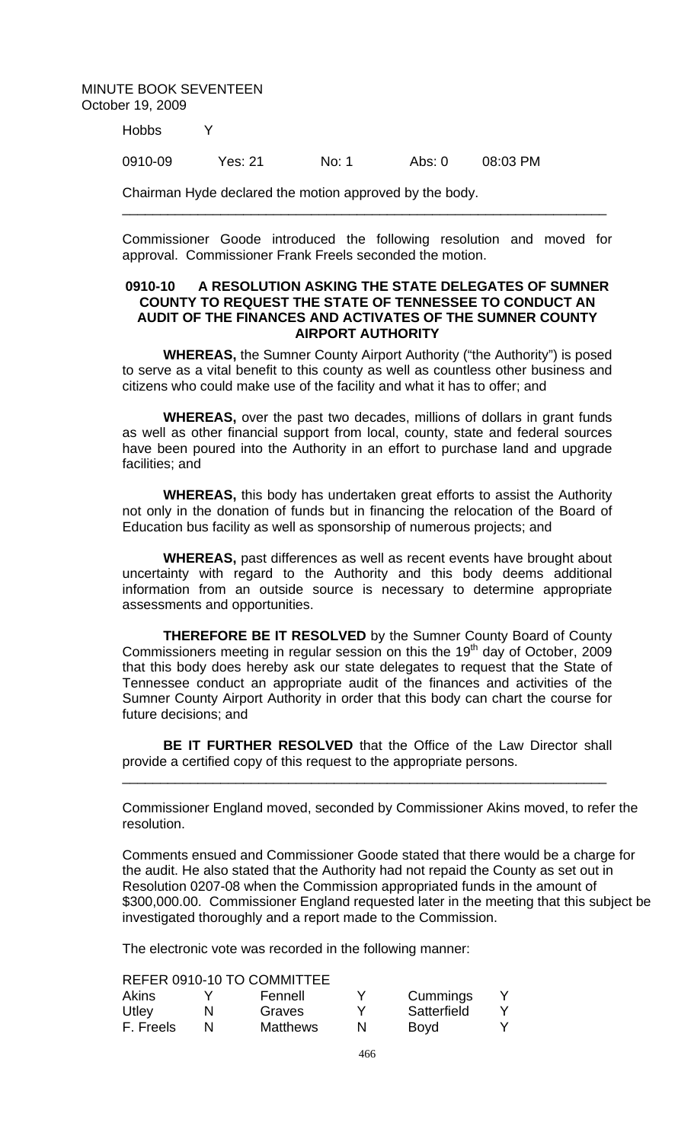Hobbs Y

0910-09 Yes: 21 No: 1 Abs: 0 08:03 PM

Chairman Hyde declared the motion approved by the body.

Commissioner Goode introduced the following resolution and moved for approval. Commissioner Frank Freels seconded the motion.

\_\_\_\_\_\_\_\_\_\_\_\_\_\_\_\_\_\_\_\_\_\_\_\_\_\_\_\_\_\_\_\_\_\_\_\_\_\_\_\_\_\_\_\_\_\_\_\_\_\_\_\_\_\_\_\_\_\_\_\_\_\_\_\_

## **0910-10 A RESOLUTION ASKING THE STATE DELEGATES OF SUMNER COUNTY TO REQUEST THE STATE OF TENNESSEE TO CONDUCT AN AUDIT OF THE FINANCES AND ACTIVATES OF THE SUMNER COUNTY AIRPORT AUTHORITY**

**WHEREAS,** the Sumner County Airport Authority ("the Authority") is posed to serve as a vital benefit to this county as well as countless other business and citizens who could make use of the facility and what it has to offer; and

**WHEREAS,** over the past two decades, millions of dollars in grant funds as well as other financial support from local, county, state and federal sources have been poured into the Authority in an effort to purchase land and upgrade facilities; and

**WHEREAS,** this body has undertaken great efforts to assist the Authority not only in the donation of funds but in financing the relocation of the Board of Education bus facility as well as sponsorship of numerous projects; and

**WHEREAS,** past differences as well as recent events have brought about uncertainty with regard to the Authority and this body deems additional information from an outside source is necessary to determine appropriate assessments and opportunities.

**THEREFORE BE IT RESOLVED** by the Sumner County Board of County Commissioners meeting in regular session on this the  $19<sup>th</sup>$  day of October, 2009 that this body does hereby ask our state delegates to request that the State of Tennessee conduct an appropriate audit of the finances and activities of the Sumner County Airport Authority in order that this body can chart the course for future decisions; and

**BE IT FURTHER RESOLVED** that the Office of the Law Director shall provide a certified copy of this request to the appropriate persons.

\_\_\_\_\_\_\_\_\_\_\_\_\_\_\_\_\_\_\_\_\_\_\_\_\_\_\_\_\_\_\_\_\_\_\_\_\_\_\_\_\_\_\_\_\_\_\_\_\_\_\_\_\_\_\_\_\_\_\_\_\_\_\_\_

Commissioner England moved, seconded by Commissioner Akins moved, to refer the resolution.

Comments ensued and Commissioner Goode stated that there would be a charge for the audit. He also stated that the Authority had not repaid the County as set out in Resolution 0207-08 when the Commission appropriated funds in the amount of \$300,000.00. Commissioner England requested later in the meeting that this subject be investigated thoroughly and a report made to the Commission.

The electronic vote was recorded in the following manner:

REFER 0910-10 TO COMMITTEE

| Akins     | Fennell         |   | Cummings    |  |
|-----------|-----------------|---|-------------|--|
| Utley     | Graves          |   | Satterfield |  |
| F. Freels | <b>Matthews</b> | N | Boyd        |  |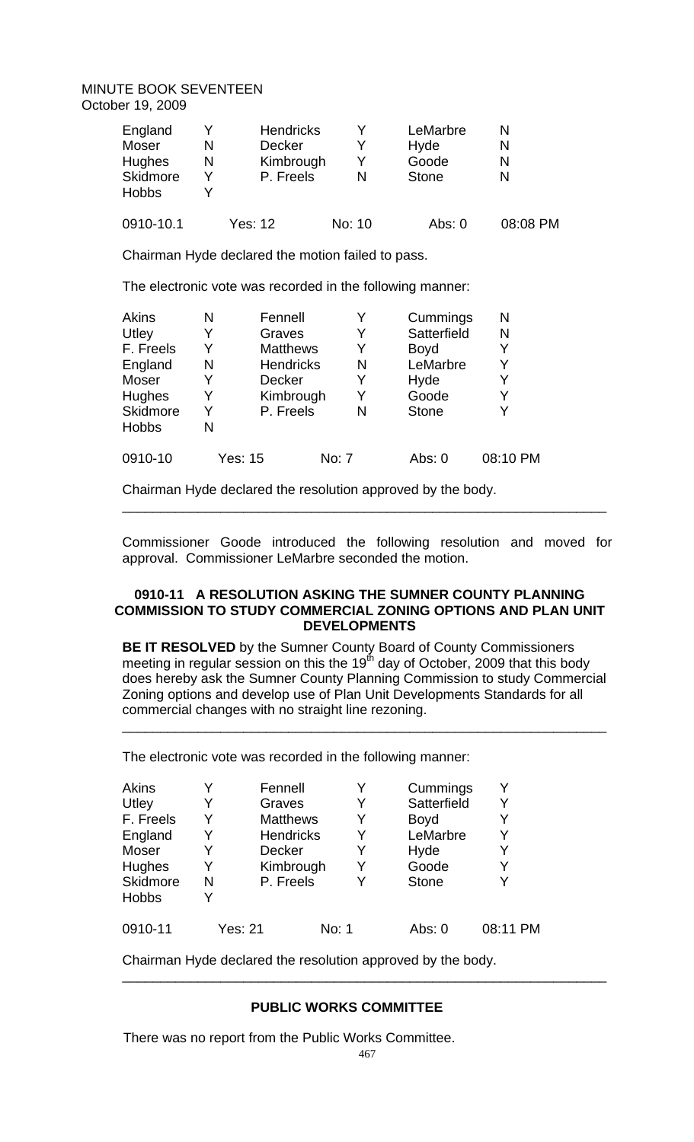| England<br>Moser<br>Hughes<br>Skidmore<br><b>Hobbs</b> | N<br>N | <b>Hendricks</b><br><b>Decker</b><br>Kimbrough<br>P. Freels | N      | LeMarbre<br>Hyde<br>Goode<br><b>Stone</b> | N<br>N<br>N<br>N |
|--------------------------------------------------------|--------|-------------------------------------------------------------|--------|-------------------------------------------|------------------|
| 0910-10.1                                              |        | Yes: 12                                                     | No: 10 | Abs: $0$                                  | 08:08 PM         |

Chairman Hyde declared the motion failed to pass.

The electronic vote was recorded in the following manner:

| Akins        | N | Fennell          |       | Y | Cummings     | N        |
|--------------|---|------------------|-------|---|--------------|----------|
| Utley        |   | Graves           |       | Y | Satterfield  | N        |
| F. Freels    | Y | <b>Matthews</b>  |       | Y | <b>Boyd</b>  | Y        |
| England      | N | <b>Hendricks</b> |       | N | LeMarbre     | Y        |
| Moser        |   | <b>Decker</b>    |       | Y | Hyde         | Y        |
| Hughes       | Y | Kimbrough        |       | Y | Goode        | Y        |
| Skidmore     |   | P. Freels        |       | N | <b>Stone</b> |          |
| <b>Hobbs</b> | N |                  |       |   |              |          |
| 0910-10      |   | Yes: 15          | No: 7 |   | Abs: 0       | 08:10 PM |

Chairman Hyde declared the resolution approved by the body.

Commissioner Goode introduced the following resolution and moved for approval. Commissioner LeMarbre seconded the motion.

\_\_\_\_\_\_\_\_\_\_\_\_\_\_\_\_\_\_\_\_\_\_\_\_\_\_\_\_\_\_\_\_\_\_\_\_\_\_\_\_\_\_\_\_\_\_\_\_\_\_\_\_\_\_\_\_\_\_\_\_\_\_\_\_

## **0910-11 A RESOLUTION ASKING THE SUMNER COUNTY PLANNING COMMISSION TO STUDY COMMERCIAL ZONING OPTIONS AND PLAN UNIT DEVELOPMENTS**

**BE IT RESOLVED** by the Sumner County Board of County Commissioners meeting in regular session on this the 19 $^{\text{th}}$  day of October, 2009 that this body does hereby ask the Sumner County Planning Commission to study Commercial Zoning options and develop use of Plan Unit Developments Standards for all commercial changes with no straight line rezoning.

\_\_\_\_\_\_\_\_\_\_\_\_\_\_\_\_\_\_\_\_\_\_\_\_\_\_\_\_\_\_\_\_\_\_\_\_\_\_\_\_\_\_\_\_\_\_\_\_\_\_\_\_\_\_\_\_\_\_\_\_\_\_\_\_

The electronic vote was recorded in the following manner:

| Akins<br>Utley<br>F. Freels<br>England<br>Moser<br>Hughes<br>Skidmore | Y<br>Y<br>Y<br>N | Fennell<br>Graves<br><b>Matthews</b><br><b>Hendricks</b><br><b>Decker</b><br>Kimbrough<br>P. Freels |       | Y<br>Y<br>Y<br>Y<br>Y<br>Y<br>v | Cummings<br>Satterfield<br><b>Boyd</b><br>LeMarbre<br>Hyde<br>Goode<br><b>Stone</b> | Y<br>Y<br>Y<br>Y<br>Y<br>v |
|-----------------------------------------------------------------------|------------------|-----------------------------------------------------------------------------------------------------|-------|---------------------------------|-------------------------------------------------------------------------------------|----------------------------|
| <b>Hobbs</b>                                                          |                  |                                                                                                     |       |                                 |                                                                                     |                            |
| 0910-11                                                               | Yes: 21          |                                                                                                     | No: 1 |                                 | Abs: 0                                                                              | 08:11 PM                   |

Chairman Hyde declared the resolution approved by the body.

# **PUBLIC WORKS COMMITTEE**

There was no report from the Public Works Committee.

\_\_\_\_\_\_\_\_\_\_\_\_\_\_\_\_\_\_\_\_\_\_\_\_\_\_\_\_\_\_\_\_\_\_\_\_\_\_\_\_\_\_\_\_\_\_\_\_\_\_\_\_\_\_\_\_\_\_\_\_\_\_\_\_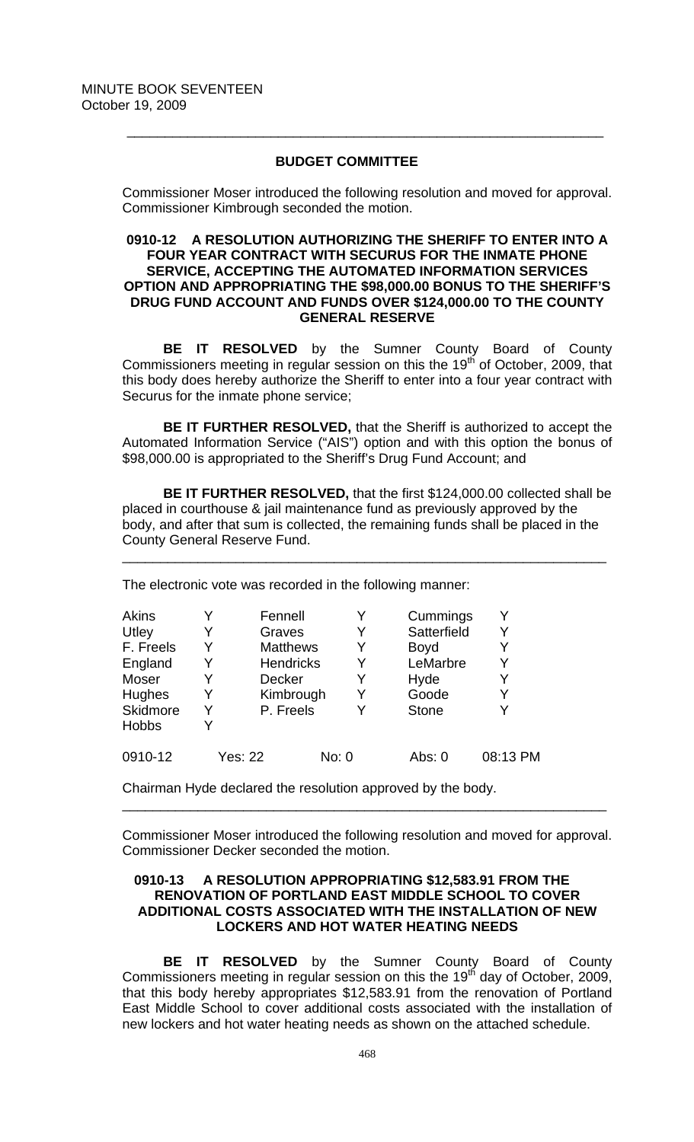## **BUDGET COMMITTEE**

 $\frac{1}{2}$  ,  $\frac{1}{2}$  ,  $\frac{1}{2}$  ,  $\frac{1}{2}$  ,  $\frac{1}{2}$  ,  $\frac{1}{2}$  ,  $\frac{1}{2}$  ,  $\frac{1}{2}$  ,  $\frac{1}{2}$  ,  $\frac{1}{2}$  ,  $\frac{1}{2}$  ,  $\frac{1}{2}$  ,  $\frac{1}{2}$  ,  $\frac{1}{2}$  ,  $\frac{1}{2}$  ,  $\frac{1}{2}$  ,  $\frac{1}{2}$  ,  $\frac{1}{2}$  ,  $\frac{1$ 

Commissioner Moser introduced the following resolution and moved for approval. Commissioner Kimbrough seconded the motion.

## **0910-12 A RESOLUTION AUTHORIZING THE SHERIFF TO ENTER INTO A FOUR YEAR CONTRACT WITH SECURUS FOR THE INMATE PHONE SERVICE, ACCEPTING THE AUTOMATED INFORMATION SERVICES OPTION AND APPROPRIATING THE \$98,000.00 BONUS TO THE SHERIFF'S DRUG FUND ACCOUNT AND FUNDS OVER \$124,000.00 TO THE COUNTY GENERAL RESERVE**

**BE IT RESOLVED** by the Sumner County Board of County Commissioners meeting in regular session on this the 19<sup>th</sup> of October, 2009, that this body does hereby authorize the Sheriff to enter into a four year contract with Securus for the inmate phone service;

**BE IT FURTHER RESOLVED,** that the Sheriff is authorized to accept the Automated Information Service ("AIS") option and with this option the bonus of \$98,000.00 is appropriated to the Sheriff's Drug Fund Account; and

**BE IT FURTHER RESOLVED,** that the first \$124,000.00 collected shall be placed in courthouse & jail maintenance fund as previously approved by the body, and after that sum is collected, the remaining funds shall be placed in the County General Reserve Fund.

\_\_\_\_\_\_\_\_\_\_\_\_\_\_\_\_\_\_\_\_\_\_\_\_\_\_\_\_\_\_\_\_\_\_\_\_\_\_\_\_\_\_\_\_\_\_\_\_\_\_\_\_\_\_\_\_\_\_\_\_\_\_\_\_

The electronic vote was recorded in the following manner:

| Akins         |   | Fennell          | Y     | Cummings     |          |
|---------------|---|------------------|-------|--------------|----------|
| Utley         | Y | Graves           | Y     | Satterfield  |          |
| F. Freels     | Y | <b>Matthews</b>  | Y     | <b>Boyd</b>  |          |
| England       |   | <b>Hendricks</b> | Y     | LeMarbre     |          |
| Moser         |   | <b>Decker</b>    | Y     | Hyde         |          |
| <b>Hughes</b> | Y | Kimbrough        | Y     | Goode        | Y        |
| Skidmore      | v | P. Freels        | Y     | <b>Stone</b> |          |
| <b>Hobbs</b>  |   |                  |       |              |          |
| 0910-12       |   | Yes: 22          | No: 0 | Abs: 0       | 08:13 PM |

Chairman Hyde declared the resolution approved by the body.

Commissioner Moser introduced the following resolution and moved for approval. Commissioner Decker seconded the motion.

\_\_\_\_\_\_\_\_\_\_\_\_\_\_\_\_\_\_\_\_\_\_\_\_\_\_\_\_\_\_\_\_\_\_\_\_\_\_\_\_\_\_\_\_\_\_\_\_\_\_\_\_\_\_\_\_\_\_\_\_\_\_\_\_

## **0910-13 A RESOLUTION APPROPRIATING \$12,583.91 FROM THE RENOVATION OF PORTLAND EAST MIDDLE SCHOOL TO COVER ADDITIONAL COSTS ASSOCIATED WITH THE INSTALLATION OF NEW LOCKERS AND HOT WATER HEATING NEEDS**

**BE IT RESOLVED** by the Sumner County Board of County Commissioners meeting in regular session on this the 19<sup>th</sup> day of October, 2009, that this body hereby appropriates \$12,583.91 from the renovation of Portland East Middle School to cover additional costs associated with the installation of new lockers and hot water heating needs as shown on the attached schedule.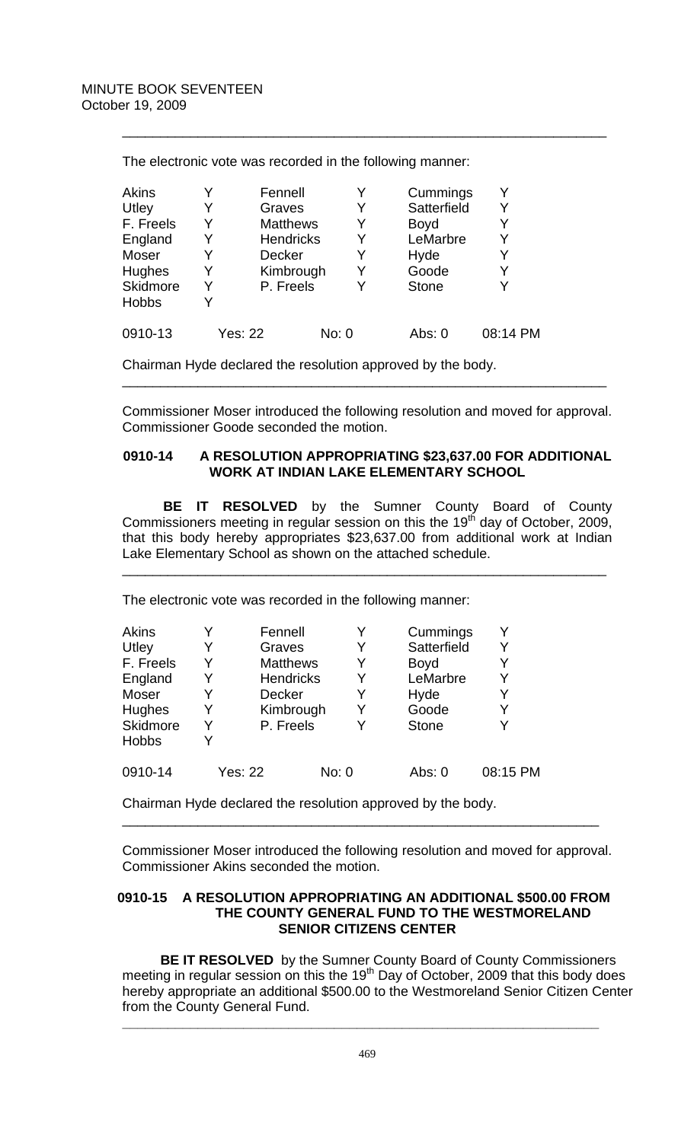| 08:14 PM |
|----------|
|          |

\_\_\_\_\_\_\_\_\_\_\_\_\_\_\_\_\_\_\_\_\_\_\_\_\_\_\_\_\_\_\_\_\_\_\_\_\_\_\_\_\_\_\_\_\_\_\_\_\_\_\_\_\_\_\_\_\_\_\_\_\_\_\_\_

The electronic vote was recorded in the following manner:

Chairman Hyde declared the resolution approved by the body.

Commissioner Moser introduced the following resolution and moved for approval. Commissioner Goode seconded the motion.

\_\_\_\_\_\_\_\_\_\_\_\_\_\_\_\_\_\_\_\_\_\_\_\_\_\_\_\_\_\_\_\_\_\_\_\_\_\_\_\_\_\_\_\_\_\_\_\_\_\_\_\_\_\_\_\_\_\_\_\_\_\_\_\_

## **0910-14 A RESOLUTION APPROPRIATING \$23,637.00 FOR ADDITIONAL WORK AT INDIAN LAKE ELEMENTARY SCHOOL**

**BE IT RESOLVED** by the Sumner County Board of County Commissioners meeting in regular session on this the 19<sup>th</sup> day of October, 2009, that this body hereby appropriates \$23,637.00 from additional work at Indian Lake Elementary School as shown on the attached schedule.

\_\_\_\_\_\_\_\_\_\_\_\_\_\_\_\_\_\_\_\_\_\_\_\_\_\_\_\_\_\_\_\_\_\_\_\_\_\_\_\_\_\_\_\_\_\_\_\_\_\_\_\_\_\_\_\_\_\_\_\_\_\_\_\_

The electronic vote was recorded in the following manner:

| Akins        |                | Fennell          |       |   | Cummings     |          |
|--------------|----------------|------------------|-------|---|--------------|----------|
| Utley        |                | Graves           |       | Y | Satterfield  |          |
| F. Freels    | Y              | <b>Matthews</b>  |       | Y | <b>Boyd</b>  |          |
| England      | Y              | <b>Hendricks</b> |       | Y | LeMarbre     | Y        |
| Moser        |                | <b>Decker</b>    |       | Y | Hyde         |          |
| Hughes       |                | Kimbrough        |       | Y | Goode        | Y        |
| Skidmore     | Y              | P. Freels        |       |   | <b>Stone</b> | Υ        |
| <b>Hobbs</b> |                |                  |       |   |              |          |
| 0910-14      | <b>Yes: 22</b> |                  | No: 0 |   | Abs: 0       | 08:15 PM |

Chairman Hyde declared the resolution approved by the body.

Commissioner Moser introduced the following resolution and moved for approval. Commissioner Akins seconded the motion.

\_\_\_\_\_\_\_\_\_\_\_\_\_\_\_\_\_\_\_\_\_\_\_\_\_\_\_\_\_\_\_\_\_\_\_\_\_\_\_\_\_\_\_\_\_\_\_\_\_\_\_\_\_\_\_\_\_\_\_\_\_\_\_

# **0910-15 A RESOLUTION APPROPRIATING AN ADDITIONAL \$500.00 FROM THE COUNTY GENERAL FUND TO THE WESTMORELAND SENIOR CITIZENS CENTER**

 **BE IT RESOLVED** by the Sumner County Board of County Commissioners meeting in regular session on this the  $19<sup>th</sup>$  Day of October, 2009 that this body does hereby appropriate an additional \$500.00 to the Westmoreland Senior Citizen Center from the County General Fund.

**\_\_\_\_\_\_\_\_\_\_\_\_\_\_\_\_\_\_\_\_\_\_\_\_\_\_\_\_\_\_\_\_\_\_\_\_\_\_\_\_\_\_\_\_\_\_\_\_\_\_\_\_\_\_\_\_\_\_\_\_\_\_\_**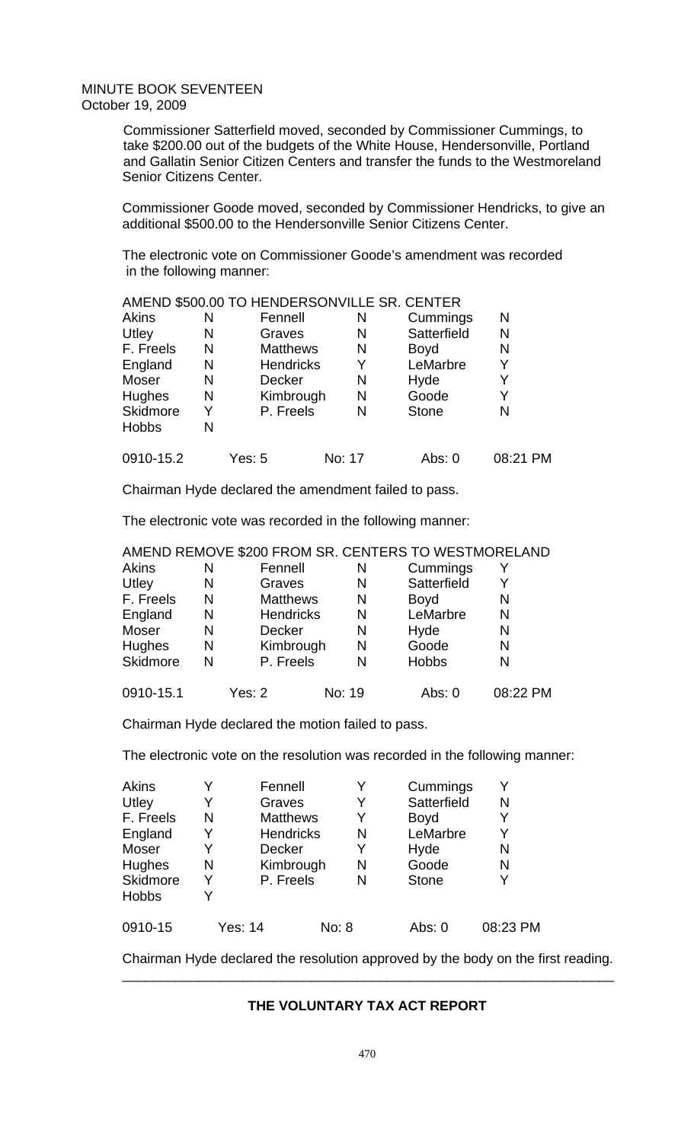Commissioner Satterfield moved, seconded by Commissioner Cummings, to take \$200.00 out of the budgets of the White House, Hendersonville, Portland and Gallatin Senior Citizen Centers and transfer the funds to the Westmoreland Senior Citizens Center.

Commissioner Goode moved, seconded by Commissioner Hendricks, to give an additional \$500.00 to the Hendersonville Senior Citizens Center.

The electronic vote on Commissioner Goode's amendment was recorded in the following manner:

|              |   | AMEND \$500.00 TO HENDERSONVILLE SR. CENTER |        |              |          |
|--------------|---|---------------------------------------------|--------|--------------|----------|
| Akins        | N | Fennell                                     | N      | Cummings     | N        |
| Utley        | N | Graves                                      | N      | Satterfield  | N        |
| F. Freels    | N | <b>Matthews</b>                             | N      | <b>Boyd</b>  | N        |
| England      | N | <b>Hendricks</b>                            | Y      | LeMarbre     | Y        |
| Moser        | N | Decker                                      | N      | Hyde         | Y        |
| Hughes       | N | Kimbrough                                   | N      | Goode        | Y        |
| Skidmore     | Y | P. Freels                                   | N      | <b>Stone</b> | N        |
| <b>Hobbs</b> | N |                                             |        |              |          |
| 0910-15.2    |   | Yes: 5                                      | No: 17 | Abs: 0       | 08:21 PM |

Chairman Hyde declared the amendment failed to pass.

The electronic vote was recorded in the following manner:

## AMEND REMOVE \$200 FROM SR. CENTERS TO WESTMORELAND

| <b>Akins</b> | N | Fennell          | N      | Cummings     | Y        |
|--------------|---|------------------|--------|--------------|----------|
| Utley        | N | Graves           | N      | Satterfield  | Y        |
| F. Freels    | N | <b>Matthews</b>  | N      | <b>Boyd</b>  | N        |
| England      | N | <b>Hendricks</b> | N      | LeMarbre     | N        |
| Moser        | N | <b>Decker</b>    | N      | Hyde         | N        |
| Hughes       | N | Kimbrough        | N      | Goode        | N        |
| Skidmore     | N | P. Freels        | N      | <b>Hobbs</b> | N        |
| 0910-15.1    |   | Yes: 2           | No: 19 | Abs: 0       | 08:22 PM |

Chairman Hyde declared the motion failed to pass.

The electronic vote on the resolution was recorded in the following manner:

| Akins        |                | Fennell          |       | Y | Cummings     |          |
|--------------|----------------|------------------|-------|---|--------------|----------|
| Utley        | Y              | Graves           |       | Y | Satterfield  | N        |
| F. Freels    | N              | <b>Matthews</b>  |       | Y | <b>Boyd</b>  |          |
| England      |                | <b>Hendricks</b> |       | N | LeMarbre     |          |
| Moser        |                | <b>Decker</b>    |       | Y | Hyde         | N        |
| Hughes       | N              | Kimbrough        |       | N | Goode        | N        |
| Skidmore     | Y              | P. Freels        |       | N | <b>Stone</b> | Y        |
| <b>Hobbs</b> |                |                  |       |   |              |          |
| 0910-15      | <b>Yes: 14</b> |                  | No: 8 |   | Abs: 0       | 08:23 PM |

Chairman Hyde declared the resolution approved by the body on the first reading. \_\_\_\_\_\_\_\_\_\_\_\_\_\_\_\_\_\_\_\_\_\_\_\_\_\_\_\_\_\_\_\_\_\_\_\_\_\_\_\_\_\_\_\_\_\_\_\_\_\_\_\_\_\_\_\_\_\_\_\_\_\_\_\_\_

## **THE VOLUNTARY TAX ACT REPORT**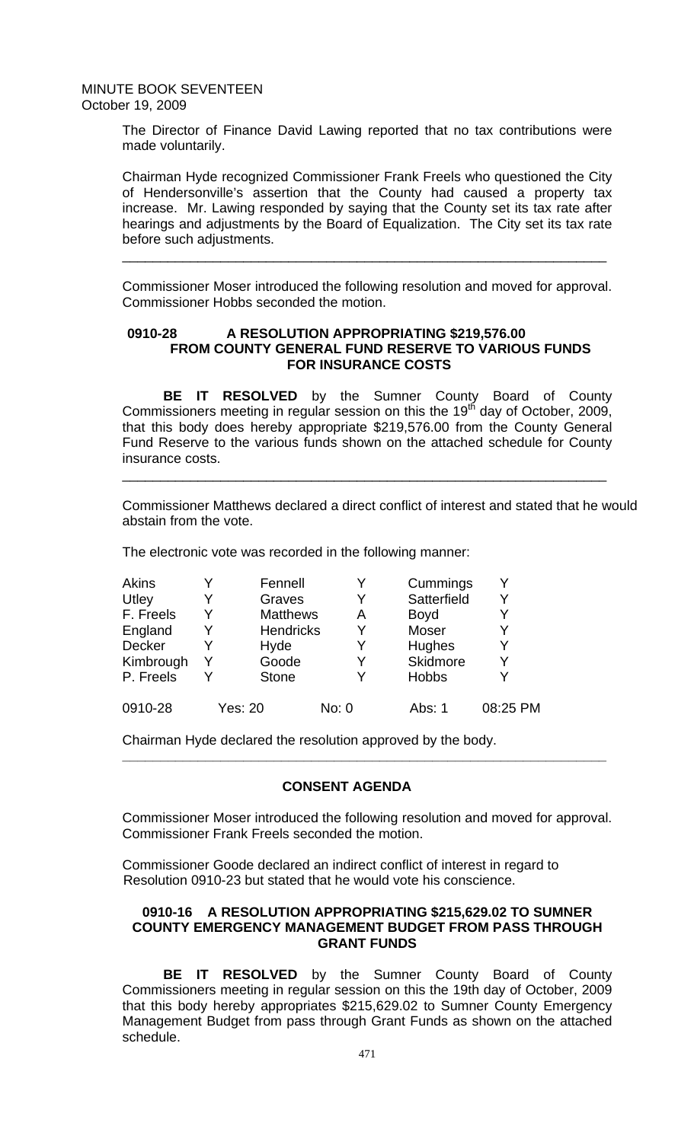The Director of Finance David Lawing reported that no tax contributions were made voluntarily.

Chairman Hyde recognized Commissioner Frank Freels who questioned the City of Hendersonville's assertion that the County had caused a property tax increase. Mr. Lawing responded by saying that the County set its tax rate after hearings and adjustments by the Board of Equalization. The City set its tax rate before such adjustments.

Commissioner Moser introduced the following resolution and moved for approval. Commissioner Hobbs seconded the motion.

\_\_\_\_\_\_\_\_\_\_\_\_\_\_\_\_\_\_\_\_\_\_\_\_\_\_\_\_\_\_\_\_\_\_\_\_\_\_\_\_\_\_\_\_\_\_\_\_\_\_\_\_\_\_\_\_\_\_\_\_\_\_\_\_

## **0910-28 A RESOLUTION APPROPRIATING \$219,576.00 FROM COUNTY GENERAL FUND RESERVE TO VARIOUS FUNDS FOR INSURANCE COSTS**

**BE IT RESOLVED** by the Sumner County Board of County Commissioners meeting in regular session on this the 19<sup>th</sup> day of October, 2009, that this body does hereby appropriate \$219,576.00 from the County General Fund Reserve to the various funds shown on the attached schedule for County insurance costs.

\_\_\_\_\_\_\_\_\_\_\_\_\_\_\_\_\_\_\_\_\_\_\_\_\_\_\_\_\_\_\_\_\_\_\_\_\_\_\_\_\_\_\_\_\_\_\_\_\_\_\_\_\_\_\_\_\_\_\_\_\_\_\_\_

Commissioner Matthews declared a direct conflict of interest and stated that he would abstain from the vote.

The electronic vote was recorded in the following manner:

| <b>Akins</b>  |   | Fennell          |       | Cummings     | Υ        |
|---------------|---|------------------|-------|--------------|----------|
| Utley         | Y | Graves           | Y     | Satterfield  | Y        |
| F. Freels     |   | <b>Matthews</b>  | A     | <b>Boyd</b>  | Y        |
| England       |   | <b>Hendricks</b> | Y     | Moser        | Y        |
| <b>Decker</b> |   | Hyde             | Y     | Hughes       | Y        |
| Kimbrough     | Y | Goode            | Y     | Skidmore     | Y        |
| P. Freels     |   | <b>Stone</b>     | ٧     | <b>Hobbs</b> | Y        |
| 0910-28       |   | <b>Yes: 20</b>   | No: 0 | Abs: 1       | 08:25 PM |

Chairman Hyde declared the resolution approved by the body.

## **CONSENT AGENDA**

 **\_\_\_\_\_\_\_\_\_\_\_\_\_\_\_\_\_\_\_\_\_\_\_\_\_\_\_\_\_\_\_\_\_\_\_\_\_\_\_\_\_\_\_\_\_\_\_\_\_\_\_\_\_\_\_\_\_\_\_\_\_\_\_\_** 

Commissioner Moser introduced the following resolution and moved for approval. Commissioner Frank Freels seconded the motion.

Commissioner Goode declared an indirect conflict of interest in regard to Resolution 0910-23 but stated that he would vote his conscience.

## **0910-16 A RESOLUTION APPROPRIATING \$215,629.02 TO SUMNER COUNTY EMERGENCY MANAGEMENT BUDGET FROM PASS THROUGH GRANT FUNDS**

 **BE IT RESOLVED** by the Sumner County Board of County Commissioners meeting in regular session on this the 19th day of October, 2009 that this body hereby appropriates \$215,629.02 to Sumner County Emergency Management Budget from pass through Grant Funds as shown on the attached schedule.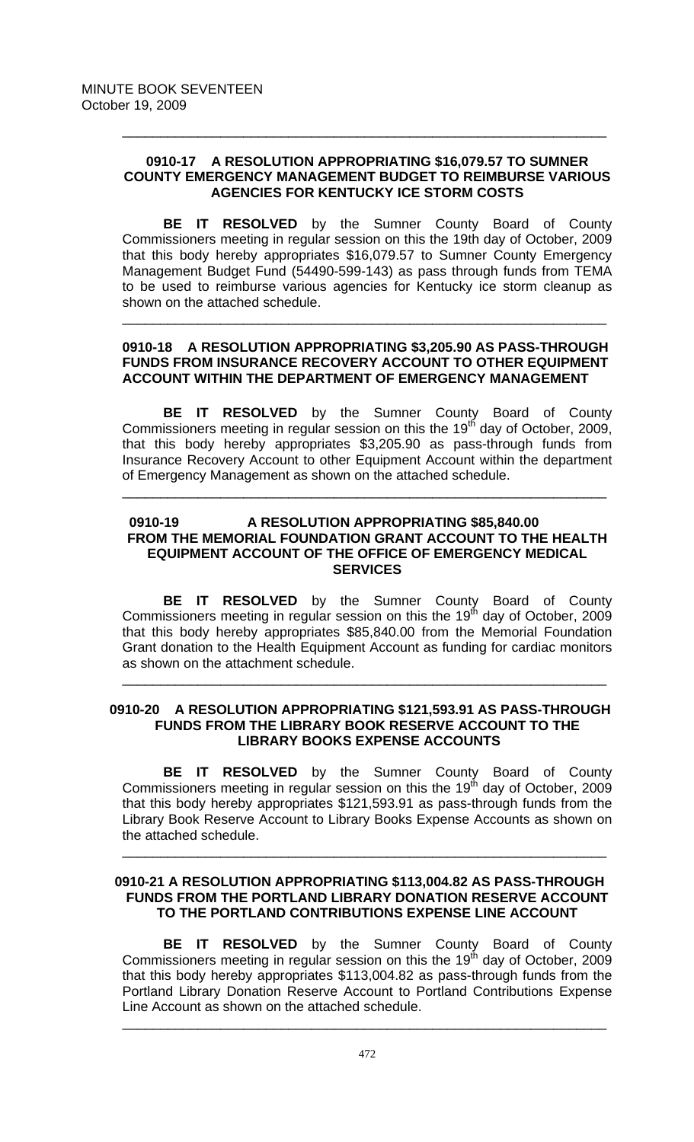## **0910-17 A RESOLUTION APPROPRIATING \$16,079.57 TO SUMNER COUNTY EMERGENCY MANAGEMENT BUDGET TO REIMBURSE VARIOUS AGENCIES FOR KENTUCKY ICE STORM COSTS**

\_\_\_\_\_\_\_\_\_\_\_\_\_\_\_\_\_\_\_\_\_\_\_\_\_\_\_\_\_\_\_\_\_\_\_\_\_\_\_\_\_\_\_\_\_\_\_\_\_\_\_\_\_\_\_\_\_\_\_\_\_\_\_\_

 **BE IT RESOLVED** by the Sumner County Board of County Commissioners meeting in regular session on this the 19th day of October, 2009 that this body hereby appropriates \$16,079.57 to Sumner County Emergency Management Budget Fund (54490-599-143) as pass through funds from TEMA to be used to reimburse various agencies for Kentucky ice storm cleanup as shown on the attached schedule.

# **0910-18 A RESOLUTION APPROPRIATING \$3,205.90 AS PASS-THROUGH FUNDS FROM INSURANCE RECOVERY ACCOUNT TO OTHER EQUIPMENT ACCOUNT WITHIN THE DEPARTMENT OF EMERGENCY MANAGEMENT**

\_\_\_\_\_\_\_\_\_\_\_\_\_\_\_\_\_\_\_\_\_\_\_\_\_\_\_\_\_\_\_\_\_\_\_\_\_\_\_\_\_\_\_\_\_\_\_\_\_\_\_\_\_\_\_\_\_\_\_\_\_\_\_\_

**BE IT RESOLVED** by the Sumner County Board of County Commissioners meeting in regular session on this the 19<sup>th</sup> day of October, 2009, that this body hereby appropriates \$3,205.90 as pass-through funds from Insurance Recovery Account to other Equipment Account within the department of Emergency Management as shown on the attached schedule.

\_\_\_\_\_\_\_\_\_\_\_\_\_\_\_\_\_\_\_\_\_\_\_\_\_\_\_\_\_\_\_\_\_\_\_\_\_\_\_\_\_\_\_\_\_\_\_\_\_\_\_\_\_\_\_\_\_\_\_\_\_\_\_\_

# **0910-19 A RESOLUTION APPROPRIATING \$85,840.00 FROM THE MEMORIAL FOUNDATION GRANT ACCOUNT TO THE HEALTH EQUIPMENT ACCOUNT OF THE OFFICE OF EMERGENCY MEDICAL SERVICES**

**BE IT RESOLVED** by the Sumner County Board of County Commissioners meeting in regular session on this the 19<sup>th</sup> day of October, 2009 that this body hereby appropriates \$85,840.00 from the Memorial Foundation Grant donation to the Health Equipment Account as funding for cardiac monitors as shown on the attachment schedule.

## **0910-20 A RESOLUTION APPROPRIATING \$121,593.91 AS PASS-THROUGH FUNDS FROM THE LIBRARY BOOK RESERVE ACCOUNT TO THE LIBRARY BOOKS EXPENSE ACCOUNTS**

\_\_\_\_\_\_\_\_\_\_\_\_\_\_\_\_\_\_\_\_\_\_\_\_\_\_\_\_\_\_\_\_\_\_\_\_\_\_\_\_\_\_\_\_\_\_\_\_\_\_\_\_\_\_\_\_\_\_\_\_\_\_\_\_

**BE IT RESOLVED** by the Sumner County Board of County Commissioners meeting in regular session on this the 19 $^{th}$  day of October, 2009 that this body hereby appropriates \$121,593.91 as pass-through funds from the Library Book Reserve Account to Library Books Expense Accounts as shown on the attached schedule.

\_\_\_\_\_\_\_\_\_\_\_\_\_\_\_\_\_\_\_\_\_\_\_\_\_\_\_\_\_\_\_\_\_\_\_\_\_\_\_\_\_\_\_\_\_\_\_\_\_\_\_\_\_\_\_\_\_\_\_\_\_\_\_\_

#### **0910-21 A RESOLUTION APPROPRIATING \$113,004.82 AS PASS-THROUGH FUNDS FROM THE PORTLAND LIBRARY DONATION RESERVE ACCOUNT TO THE PORTLAND CONTRIBUTIONS EXPENSE LINE ACCOUNT**

**BE IT RESOLVED** by the Sumner County Board of County Commissioners meeting in regular session on this the 19 $<sup>th</sup>$  day of October, 2009</sup> that this body hereby appropriates \$113,004.82 as pass-through funds from the Portland Library Donation Reserve Account to Portland Contributions Expense Line Account as shown on the attached schedule.

\_\_\_\_\_\_\_\_\_\_\_\_\_\_\_\_\_\_\_\_\_\_\_\_\_\_\_\_\_\_\_\_\_\_\_\_\_\_\_\_\_\_\_\_\_\_\_\_\_\_\_\_\_\_\_\_\_\_\_\_\_\_\_\_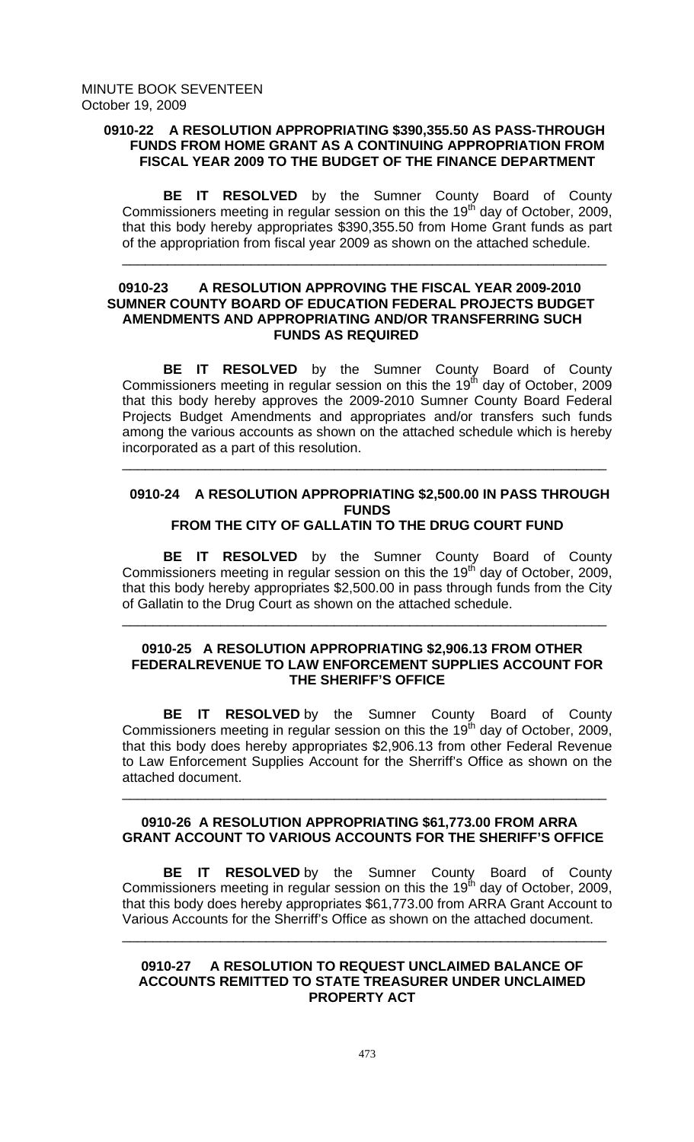## **0910-22 A RESOLUTION APPROPRIATING \$390,355.50 AS PASS-THROUGH FUNDS FROM HOME GRANT AS A CONTINUING APPROPRIATION FROM FISCAL YEAR 2009 TO THE BUDGET OF THE FINANCE DEPARTMENT**

**BE IT RESOLVED** by the Sumner County Board of County Commissioners meeting in regular session on this the  $19<sup>th</sup>$  day of October, 2009, that this body hereby appropriates \$390,355.50 from Home Grant funds as part of the appropriation from fiscal year 2009 as shown on the attached schedule.

\_\_\_\_\_\_\_\_\_\_\_\_\_\_\_\_\_\_\_\_\_\_\_\_\_\_\_\_\_\_\_\_\_\_\_\_\_\_\_\_\_\_\_\_\_\_\_\_\_\_\_\_\_\_\_\_\_\_\_\_\_\_\_\_

## **0910-23 A RESOLUTION APPROVING THE FISCAL YEAR 2009-2010 SUMNER COUNTY BOARD OF EDUCATION FEDERAL PROJECTS BUDGET AMENDMENTS AND APPROPRIATING AND/OR TRANSFERRING SUCH FUNDS AS REQUIRED**

 **BE IT RESOLVED** by the Sumner County Board of County Commissioners meeting in regular session on this the 19<sup>th</sup> day of October, 2009 that this body hereby approves the 2009-2010 Sumner County Board Federal Projects Budget Amendments and appropriates and/or transfers such funds among the various accounts as shown on the attached schedule which is hereby incorporated as a part of this resolution.

\_\_\_\_\_\_\_\_\_\_\_\_\_\_\_\_\_\_\_\_\_\_\_\_\_\_\_\_\_\_\_\_\_\_\_\_\_\_\_\_\_\_\_\_\_\_\_\_\_\_\_\_\_\_\_\_\_\_\_\_\_\_\_\_

#### **0910-24 A RESOLUTION APPROPRIATING \$2,500.00 IN PASS THROUGH FUNDS FROM THE CITY OF GALLATIN TO THE DRUG COURT FUND**

 **BE IT RESOLVED** by the Sumner County Board of County Commissioners meeting in regular session on this the 19<sup>th</sup> day of October, 2009, that this body hereby appropriates \$2,500.00 in pass through funds from the City of Gallatin to the Drug Court as shown on the attached schedule.

\_\_\_\_\_\_\_\_\_\_\_\_\_\_\_\_\_\_\_\_\_\_\_\_\_\_\_\_\_\_\_\_\_\_\_\_\_\_\_\_\_\_\_\_\_\_\_\_\_\_\_\_\_\_\_\_\_\_\_\_\_\_\_\_

## **0910-25 A RESOLUTION APPROPRIATING \$2,906.13 FROM OTHER FEDERALREVENUE TO LAW ENFORCEMENT SUPPLIES ACCOUNT FOR THE SHERIFF'S OFFICE**

 **BE IT RESOLVED** by the Sumner County Board of County Commissioners meeting in regular session on this the 19<sup>th</sup> day of October, 2009, that this body does hereby appropriates \$2,906.13 from other Federal Revenue to Law Enforcement Supplies Account for the Sherriff's Office as shown on the attached document.

# **0910-26 A RESOLUTION APPROPRIATING \$61,773.00 FROM ARRA GRANT ACCOUNT TO VARIOUS ACCOUNTS FOR THE SHERIFF'S OFFICE**

\_\_\_\_\_\_\_\_\_\_\_\_\_\_\_\_\_\_\_\_\_\_\_\_\_\_\_\_\_\_\_\_\_\_\_\_\_\_\_\_\_\_\_\_\_\_\_\_\_\_\_\_\_\_\_\_\_\_\_\_\_\_\_\_

**BE IT RESOLVED** by the Sumner County Board of County Commissioners meeting in regular session on this the 19<sup>th</sup> day of October, 2009, that this body does hereby appropriates \$61,773.00 from ARRA Grant Account to Various Accounts for the Sherriff's Office as shown on the attached document. \_\_\_\_\_\_\_\_\_\_\_\_\_\_\_\_\_\_\_\_\_\_\_\_\_\_\_\_\_\_\_\_\_\_\_\_\_\_\_\_\_\_\_\_\_\_\_\_\_\_\_\_\_\_\_\_\_\_\_\_\_\_\_\_

## **0910-27 A RESOLUTION TO REQUEST UNCLAIMED BALANCE OF ACCOUNTS REMITTED TO STATE TREASURER UNDER UNCLAIMED PROPERTY ACT**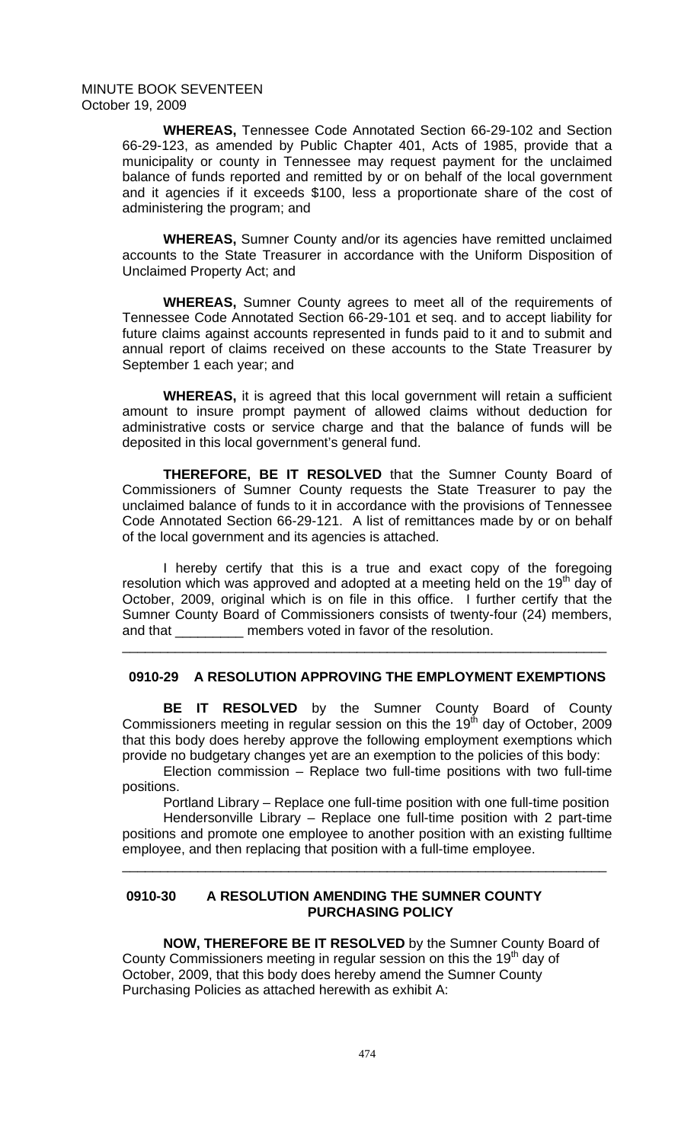**WHEREAS,** Tennessee Code Annotated Section 66-29-102 and Section 66-29-123, as amended by Public Chapter 401, Acts of 1985, provide that a municipality or county in Tennessee may request payment for the unclaimed balance of funds reported and remitted by or on behalf of the local government and it agencies if it exceeds \$100, less a proportionate share of the cost of administering the program; and

**WHEREAS,** Sumner County and/or its agencies have remitted unclaimed accounts to the State Treasurer in accordance with the Uniform Disposition of Unclaimed Property Act; and

**WHEREAS,** Sumner County agrees to meet all of the requirements of Tennessee Code Annotated Section 66-29-101 et seq. and to accept liability for future claims against accounts represented in funds paid to it and to submit and annual report of claims received on these accounts to the State Treasurer by September 1 each year; and

**WHEREAS,** it is agreed that this local government will retain a sufficient amount to insure prompt payment of allowed claims without deduction for administrative costs or service charge and that the balance of funds will be deposited in this local government's general fund.

 **THEREFORE, BE IT RESOLVED** that the Sumner County Board of Commissioners of Sumner County requests the State Treasurer to pay the unclaimed balance of funds to it in accordance with the provisions of Tennessee Code Annotated Section 66-29-121. A list of remittances made by or on behalf of the local government and its agencies is attached.

 I hereby certify that this is a true and exact copy of the foregoing resolution which was approved and adopted at a meeting held on the 19<sup>th</sup> day of October, 2009, original which is on file in this office. I further certify that the Sumner County Board of Commissioners consists of twenty-four (24) members, and that \_\_\_\_\_\_\_\_\_\_\_ members voted in favor of the resolution.

# **0910-29 A RESOLUTION APPROVING THE EMPLOYMENT EXEMPTIONS**

\_\_\_\_\_\_\_\_\_\_\_\_\_\_\_\_\_\_\_\_\_\_\_\_\_\_\_\_\_\_\_\_\_\_\_\_\_\_\_\_\_\_\_\_\_\_\_\_\_\_\_\_\_\_\_\_\_\_\_\_\_\_\_\_

**BE IT RESOLVED** by the Sumner County Board of County Commissioners meeting in regular session on this the 19 $<sup>th</sup>$  day of October, 2009</sup> that this body does hereby approve the following employment exemptions which provide no budgetary changes yet are an exemption to the policies of this body:

Election commission – Replace two full-time positions with two full-time positions.

Portland Library – Replace one full-time position with one full-time position

Hendersonville Library – Replace one full-time position with 2 part-time positions and promote one employee to another position with an existing fulltime employee, and then replacing that position with a full-time employee.

\_\_\_\_\_\_\_\_\_\_\_\_\_\_\_\_\_\_\_\_\_\_\_\_\_\_\_\_\_\_\_\_\_\_\_\_\_\_\_\_\_\_\_\_\_\_\_\_\_\_\_\_\_\_\_\_\_\_\_\_\_\_\_\_

## **0910-30 A RESOLUTION AMENDING THE SUMNER COUNTY PURCHASING POLICY**

**NOW, THEREFORE BE IT RESOLVED** by the Sumner County Board of County Commissioners meeting in regular session on this the 19<sup>th</sup> day of October, 2009, that this body does hereby amend the Sumner County Purchasing Policies as attached herewith as exhibit A: